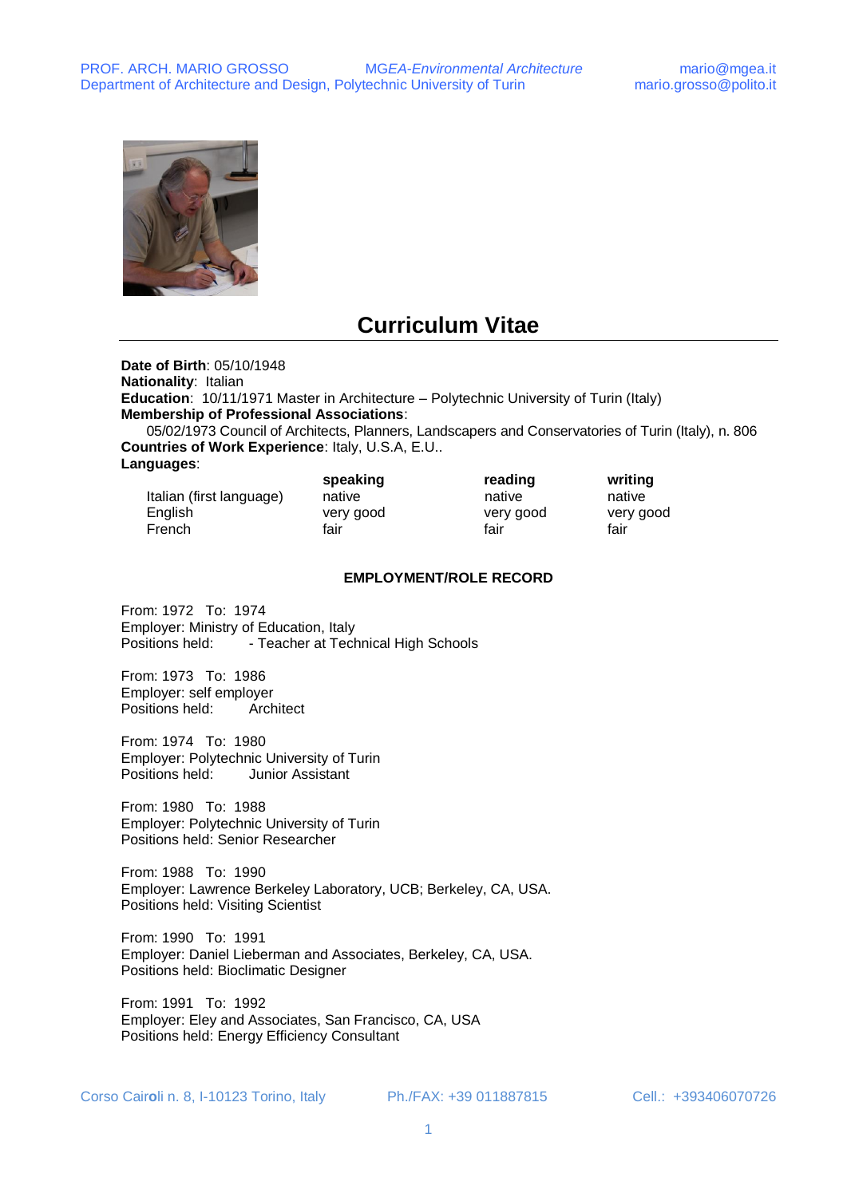

# **Curriculum Vitae**

**Date of Birth**: 05/10/1948

**Nationality**: Italian

**Education**: 10/11/1971 Master in Architecture – Polytechnic University of Turin (Italy) **Membership of Professional Associations**:

05/02/1973 Council of Architects, Planners, Landscapers and Conservatories of Turin (Italy), n. 806 **Countries of Work Experience**: Italy, U.S.A, E.U..

**Languages**:

|                          | speaking  | reading   | writing   |
|--------------------------|-----------|-----------|-----------|
| Italian (first language) | native    | native    | native    |
| English                  | very good | very good | very good |
| French                   | fair      | fair      | fair      |

#### **EMPLOYMENT/ROLE RECORD**

From: 1972 To: 1974 Employer: Ministry of Education, Italy Positions held: - Teacher at Technical High Schools

From: 1973 To: 1986 Employer: self employer Positions held: Architect

From: 1974 To: 1980 Employer: Polytechnic University of Turin Positions held: Junior Assistant

From: 1980 To: 1988 Employer: Polytechnic University of Turin Positions held: Senior Researcher

From: 1988 To: 1990 Employer: Lawrence Berkeley Laboratory, UCB; Berkeley, CA, USA. Positions held: Visiting Scientist

From: 1990 To: 1991 Employer: Daniel Lieberman and Associates, Berkeley, CA, USA. Positions held: Bioclimatic Designer

From: 1991 To: 1992 Employer: Eley and Associates, San Francisco, CA, USA Positions held: Energy Efficiency Consultant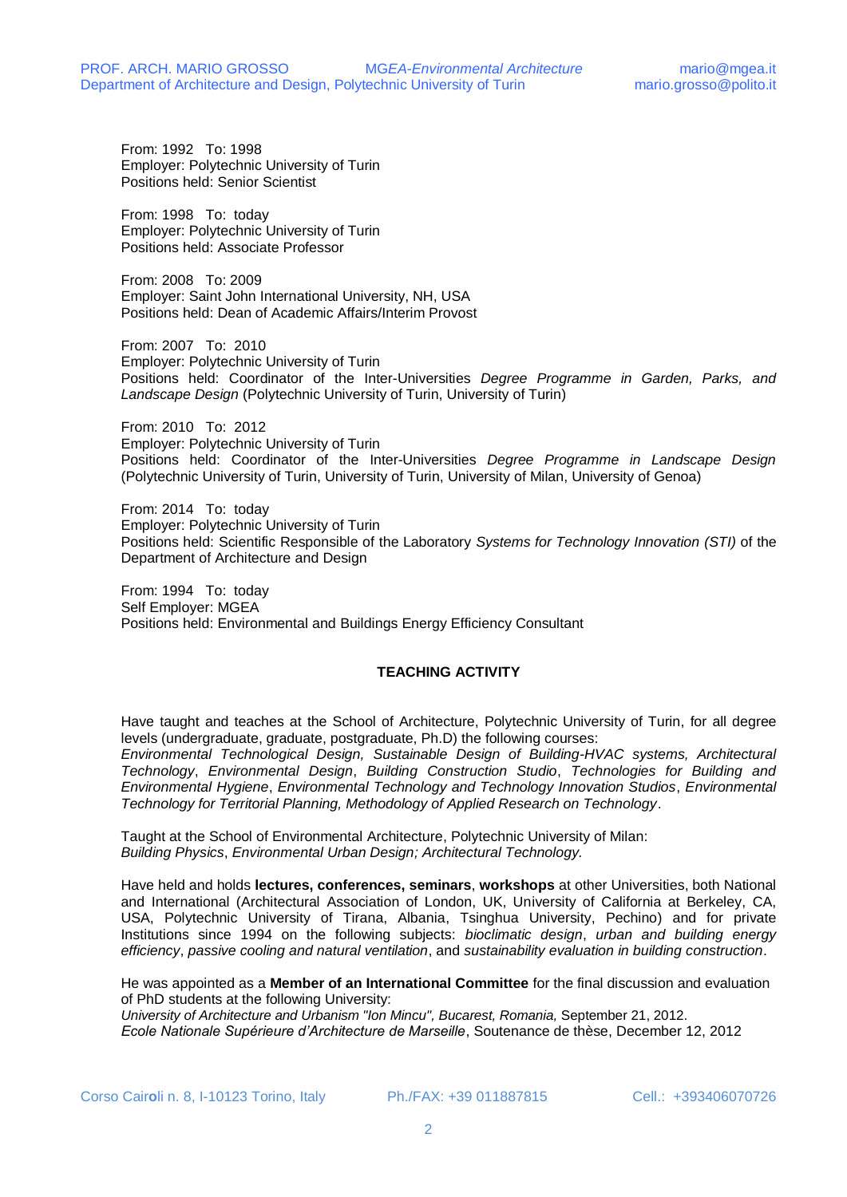From: 1992 To: 1998 Employer: Polytechnic University of Turin Positions held: Senior Scientist

From: 1998 To: today Employer: Polytechnic University of Turin Positions held: Associate Professor

From: 2008 To: 2009 Employer: Saint John International University, NH, USA Positions held: Dean of Academic Affairs/Interim Provost

From: 2007 To: 2010 Employer: Polytechnic University of Turin Positions held: Coordinator of the Inter-Universities *Degree Programme in Garden, Parks, and Landscape Design* (Polytechnic University of Turin, University of Turin)

From: 2010 To: 2012 Employer: Polytechnic University of Turin Positions held: Coordinator of the Inter-Universities *Degree Programme in Landscape Design* (Polytechnic University of Turin, University of Turin, University of Milan, University of Genoa)

From: 2014 To: today Employer: Polytechnic University of Turin Positions held: Scientific Responsible of the Laboratory *Systems for Technology Innovation (STI)* of the Department of Architecture and Design

From: 1994 To: today Self Employer: MGEA Positions held: Environmental and Buildings Energy Efficiency Consultant

## **TEACHING ACTIVITY**

Have taught and teaches at the School of Architecture, Polytechnic University of Turin, for all degree levels (undergraduate, graduate, postgraduate, Ph.D) the following courses:

*Environmental Technological Design, Sustainable Design of Building-HVAC systems, Architectural Technology*, *Environmental Design*, *Building Construction Studio*, *Technologies for Building and Environmental Hygiene*, *Environmental Technology and Technology Innovation Studios*, *Environmental Technology for Territorial Planning, Methodology of Applied Research on Technology*.

Taught at the School of Environmental Architecture, Polytechnic University of Milan: *Building Physics*, *Environmental Urban Design; Architectural Technology.*

Have held and holds **lectures, conferences, seminars**, **workshops** at other Universities, both National and International (Architectural Association of London, UK, University of California at Berkeley, CA, USA, Polytechnic University of Tirana, Albania, Tsinghua University, Pechino) and for private Institutions since 1994 on the following subjects: *bioclimatic design*, *urban and building energy efficiency*, *passive cooling and natural ventilation*, and *sustainability evaluation in building construction*.

He was appointed as a **Member of an International Committee** for the final discussion and evaluation of PhD students at the following University:

*University of Architecture and Urbanism "Ion Mincu", Bucarest, Romania,* September 21, 2012. *Ecole Nationale Supérieure d'Architecture de Marseille*, Soutenance de thèse, December 12, 2012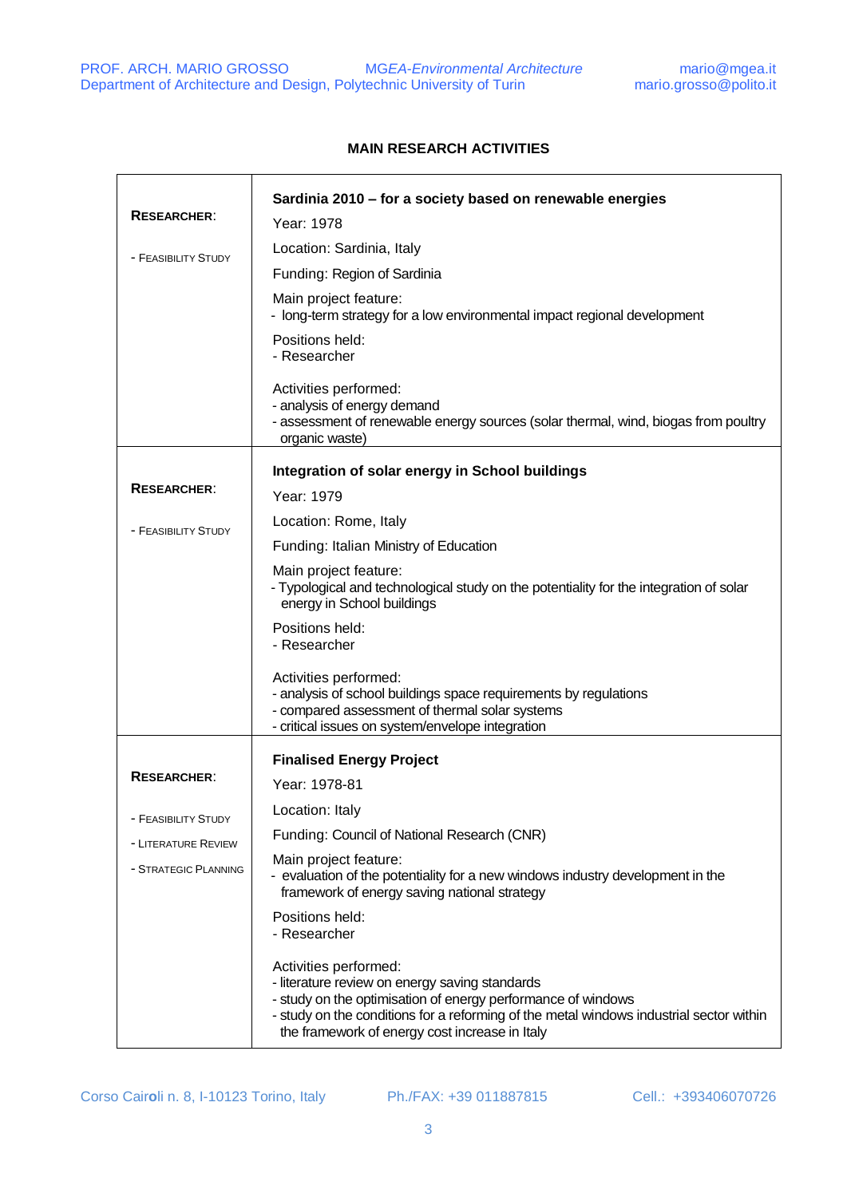$\overline{\mathsf{r}}$ 

 $\Gamma$ 

٦

## **MAIN RESEARCH ACTIVITIES**

|                      | Sardinia 2010 - for a society based on renewable energies                                                                                                                                                                                                                            |
|----------------------|--------------------------------------------------------------------------------------------------------------------------------------------------------------------------------------------------------------------------------------------------------------------------------------|
| <b>RESEARCHER:</b>   | Year: 1978                                                                                                                                                                                                                                                                           |
| - FEASIBILITY STUDY  | Location: Sardinia, Italy                                                                                                                                                                                                                                                            |
|                      | Funding: Region of Sardinia                                                                                                                                                                                                                                                          |
|                      | Main project feature:<br>- long-term strategy for a low environmental impact regional development                                                                                                                                                                                    |
|                      | Positions held:<br>- Researcher                                                                                                                                                                                                                                                      |
|                      | Activities performed:<br>- analysis of energy demand<br>- assessment of renewable energy sources (solar thermal, wind, biogas from poultry<br>organic waste)                                                                                                                         |
|                      | Integration of solar energy in School buildings                                                                                                                                                                                                                                      |
| <b>RESEARCHER:</b>   | Year: 1979                                                                                                                                                                                                                                                                           |
| - FEASIBILITY STUDY  | Location: Rome, Italy                                                                                                                                                                                                                                                                |
|                      | Funding: Italian Ministry of Education                                                                                                                                                                                                                                               |
|                      | Main project feature:<br>- Typological and technological study on the potentiality for the integration of solar<br>energy in School buildings                                                                                                                                        |
|                      | Positions held:<br>- Researcher                                                                                                                                                                                                                                                      |
|                      | Activities performed:<br>- analysis of school buildings space requirements by regulations<br>- compared assessment of thermal solar systems<br>- critical issues on system/envelope integration                                                                                      |
|                      | <b>Finalised Energy Project</b>                                                                                                                                                                                                                                                      |
| <b>RESEARCHER:</b>   | Year: 1978-81                                                                                                                                                                                                                                                                        |
|                      | Location: Italy                                                                                                                                                                                                                                                                      |
| - FEASIBILITY STUDY  | Funding: Council of National Research (CNR)                                                                                                                                                                                                                                          |
| - LITERATURE REVIEW  | Main project feature:                                                                                                                                                                                                                                                                |
| - STRATEGIC PLANNING | - evaluation of the potentiality for a new windows industry development in the<br>framework of energy saving national strategy                                                                                                                                                       |
|                      | Positions held:<br>- Researcher                                                                                                                                                                                                                                                      |
|                      | Activities performed:<br>- literature review on energy saving standards<br>- study on the optimisation of energy performance of windows<br>- study on the conditions for a reforming of the metal windows industrial sector within<br>the framework of energy cost increase in Italy |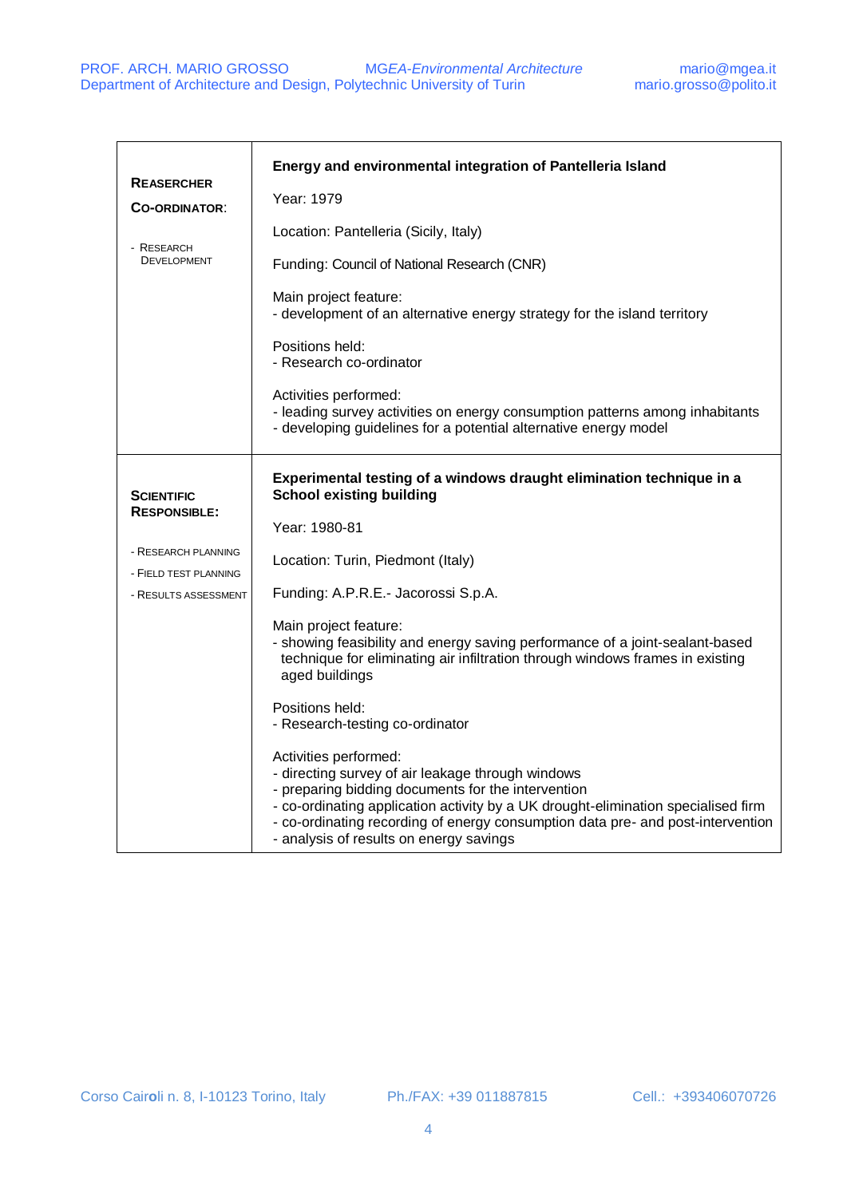| <b>REASERCHER</b><br><b>CO-ORDINATOR:</b><br>- RESEARCH<br><b>DEVELOPMENT</b>                                    | Energy and environmental integration of Pantelleria Island<br>Year: 1979<br>Location: Pantelleria (Sicily, Italy)<br>Funding: Council of National Research (CNR)<br>Main project feature:<br>- development of an alternative energy strategy for the island territory<br>Positions held:<br>- Research co-ordinator<br>Activities performed:<br>- leading survey activities on energy consumption patterns among inhabitants<br>- developing guidelines for a potential alternative energy model                                                                                                                                                                                                                                                                                                                              |
|------------------------------------------------------------------------------------------------------------------|-------------------------------------------------------------------------------------------------------------------------------------------------------------------------------------------------------------------------------------------------------------------------------------------------------------------------------------------------------------------------------------------------------------------------------------------------------------------------------------------------------------------------------------------------------------------------------------------------------------------------------------------------------------------------------------------------------------------------------------------------------------------------------------------------------------------------------|
| <b>SCIENTIFIC</b><br><b>RESPONSIBLE:</b><br>- RESEARCH PLANNING<br>- FIELD TEST PLANNING<br>- RESULTS ASSESSMENT | Experimental testing of a windows draught elimination technique in a<br><b>School existing building</b><br>Year: 1980-81<br>Location: Turin, Piedmont (Italy)<br>Funding: A.P.R.E.- Jacorossi S.p.A.<br>Main project feature:<br>- showing feasibility and energy saving performance of a joint-sealant-based<br>technique for eliminating air infiltration through windows frames in existing<br>aged buildings<br>Positions held:<br>- Research-testing co-ordinator<br>Activities performed:<br>- directing survey of air leakage through windows<br>- preparing bidding documents for the intervention<br>- co-ordinating application activity by a UK drought-elimination specialised firm<br>- co-ordinating recording of energy consumption data pre- and post-intervention<br>- analysis of results on energy savings |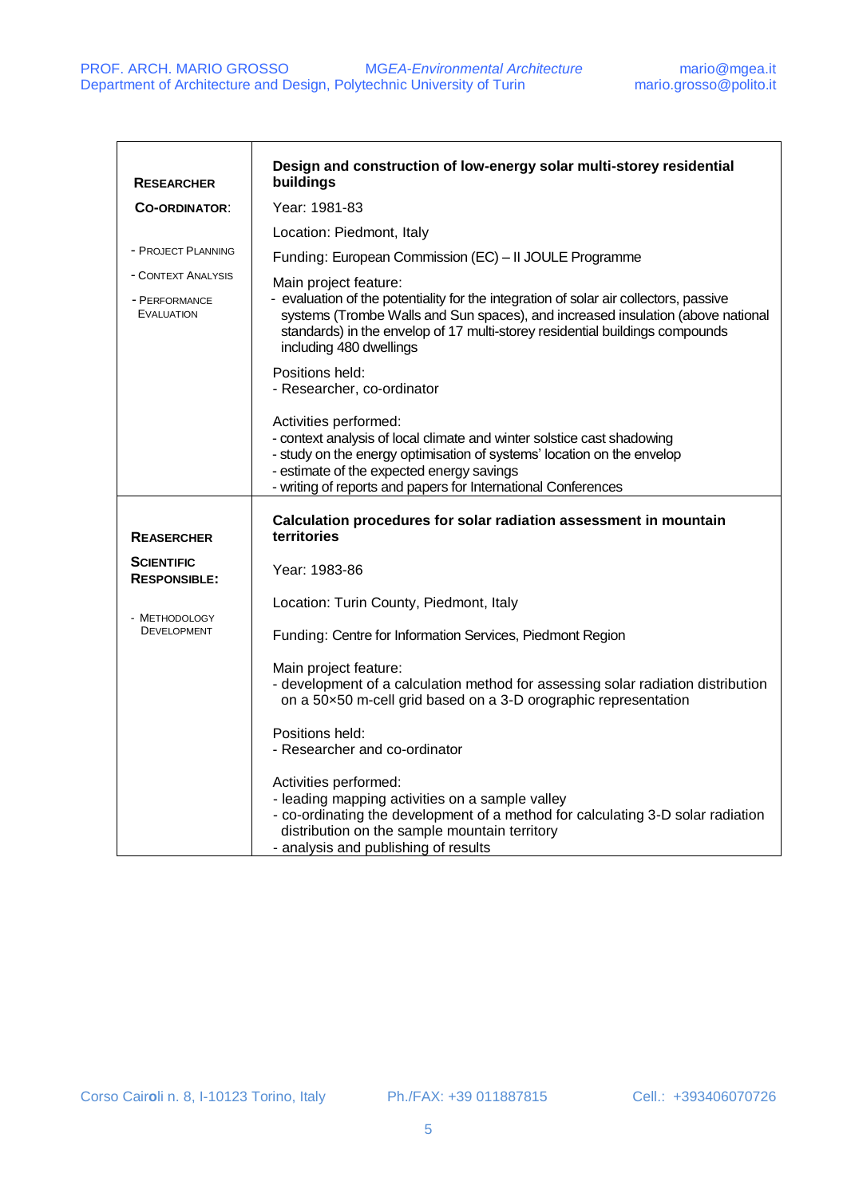| <b>RESEARCHER</b>                                        | Design and construction of low-energy solar multi-storey residential<br>buildings                                                                                                                                                                                                                            |
|----------------------------------------------------------|--------------------------------------------------------------------------------------------------------------------------------------------------------------------------------------------------------------------------------------------------------------------------------------------------------------|
| <b>CO-ORDINATOR:</b>                                     | Year: 1981-83                                                                                                                                                                                                                                                                                                |
|                                                          | Location: Piedmont, Italy                                                                                                                                                                                                                                                                                    |
| - PROJECT PLANNING                                       | Funding: European Commission (EC) - II JOULE Programme                                                                                                                                                                                                                                                       |
| - CONTEXT ANALYSIS<br>- PERFORMANCE<br><b>EVALUATION</b> | Main project feature:<br>- evaluation of the potentiality for the integration of solar air collectors, passive<br>systems (Trombe Walls and Sun spaces), and increased insulation (above national<br>standards) in the envelop of 17 multi-storey residential buildings compounds<br>including 480 dwellings |
|                                                          | Positions held:<br>- Researcher, co-ordinator                                                                                                                                                                                                                                                                |
|                                                          | Activities performed:<br>- context analysis of local climate and winter solstice cast shadowing<br>- study on the energy optimisation of systems' location on the envelop<br>- estimate of the expected energy savings<br>- writing of reports and papers for International Conferences                      |
| <b>REASERCHER</b>                                        | Calculation procedures for solar radiation assessment in mountain<br>territories                                                                                                                                                                                                                             |
| <b>SCIENTIFIC</b><br><b>RESPONSIBLE:</b>                 | Year: 1983-86                                                                                                                                                                                                                                                                                                |
|                                                          | Location: Turin County, Piedmont, Italy                                                                                                                                                                                                                                                                      |
| - METHODOLOGY<br><b>DEVELOPMENT</b>                      | Funding: Centre for Information Services, Piedmont Region                                                                                                                                                                                                                                                    |
|                                                          | Main project feature:<br>- development of a calculation method for assessing solar radiation distribution<br>on a 50x50 m-cell grid based on a 3-D orographic representation                                                                                                                                 |
|                                                          | Positions held:<br>- Researcher and co-ordinator                                                                                                                                                                                                                                                             |
|                                                          | Activities performed:<br>- leading mapping activities on a sample valley<br>- co-ordinating the development of a method for calculating 3-D solar radiation<br>distribution on the sample mountain territory<br>- analysis and publishing of results                                                         |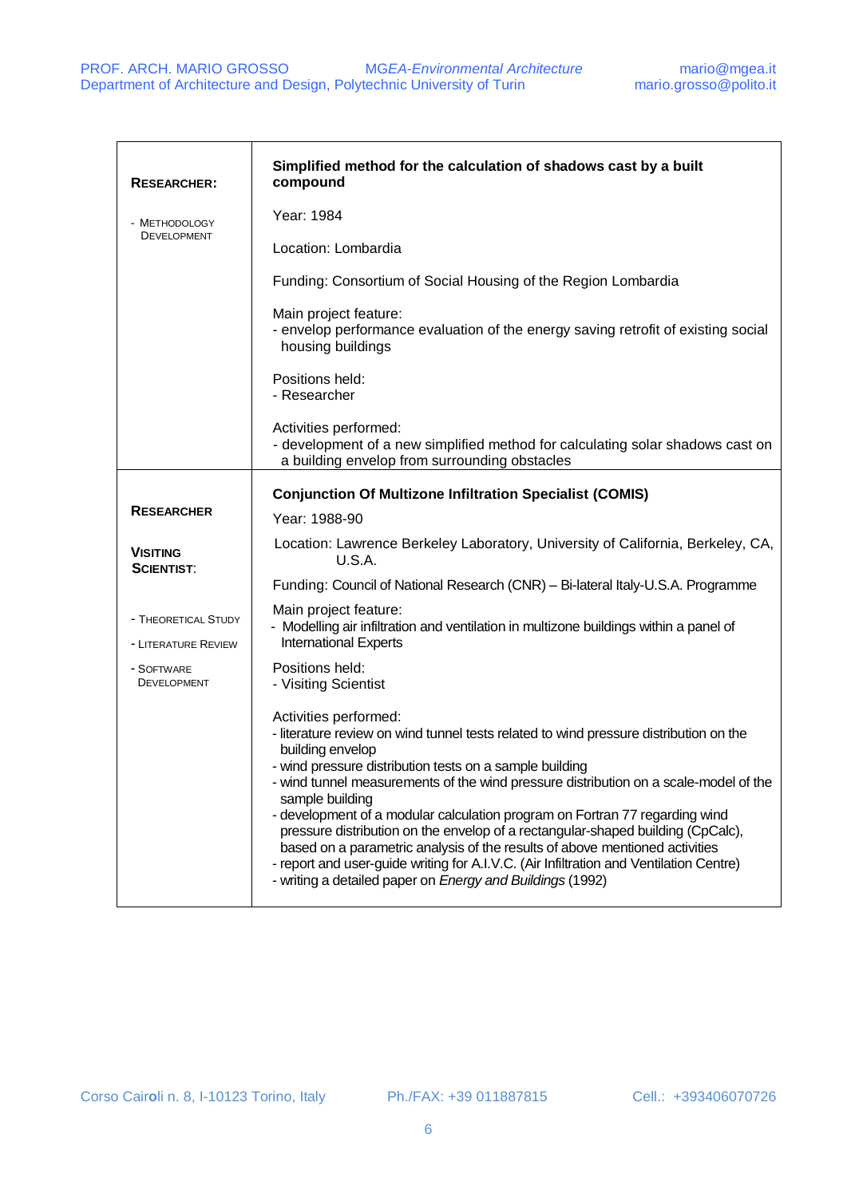| <b>RESEARCHER:</b>                         | Simplified method for the calculation of shadows cast by a built<br>compound                                                                                                                                                                                                                                                                                                                                                                                                                                                                                                                                                                                                                                     |
|--------------------------------------------|------------------------------------------------------------------------------------------------------------------------------------------------------------------------------------------------------------------------------------------------------------------------------------------------------------------------------------------------------------------------------------------------------------------------------------------------------------------------------------------------------------------------------------------------------------------------------------------------------------------------------------------------------------------------------------------------------------------|
| - METHODOLOGY<br><b>DEVELOPMENT</b>        | Year: 1984                                                                                                                                                                                                                                                                                                                                                                                                                                                                                                                                                                                                                                                                                                       |
|                                            | Location: Lombardia                                                                                                                                                                                                                                                                                                                                                                                                                                                                                                                                                                                                                                                                                              |
|                                            | Funding: Consortium of Social Housing of the Region Lombardia                                                                                                                                                                                                                                                                                                                                                                                                                                                                                                                                                                                                                                                    |
|                                            | Main project feature:<br>- envelop performance evaluation of the energy saving retrofit of existing social<br>housing buildings                                                                                                                                                                                                                                                                                                                                                                                                                                                                                                                                                                                  |
|                                            | Positions held:<br>- Researcher                                                                                                                                                                                                                                                                                                                                                                                                                                                                                                                                                                                                                                                                                  |
|                                            | Activities performed:<br>- development of a new simplified method for calculating solar shadows cast on<br>a building envelop from surrounding obstacles                                                                                                                                                                                                                                                                                                                                                                                                                                                                                                                                                         |
|                                            | <b>Conjunction Of Multizone Infiltration Specialist (COMIS)</b>                                                                                                                                                                                                                                                                                                                                                                                                                                                                                                                                                                                                                                                  |
| <b>RESEARCHER</b>                          | Year: 1988-90                                                                                                                                                                                                                                                                                                                                                                                                                                                                                                                                                                                                                                                                                                    |
| <b>VISITING</b><br><b>SCIENTIST:</b>       | Location: Lawrence Berkeley Laboratory, University of California, Berkeley, CA,<br>U.S.A.                                                                                                                                                                                                                                                                                                                                                                                                                                                                                                                                                                                                                        |
|                                            | Funding: Council of National Research (CNR) - Bi-lateral Italy-U.S.A. Programme                                                                                                                                                                                                                                                                                                                                                                                                                                                                                                                                                                                                                                  |
| - THEORETICAL STUDY<br>- LITERATURE REVIEW | Main project feature:<br>- Modelling air infiltration and ventilation in multizone buildings within a panel of<br><b>International Experts</b>                                                                                                                                                                                                                                                                                                                                                                                                                                                                                                                                                                   |
| - SOFTWARE<br><b>DEVELOPMENT</b>           | Positions held:<br>- Visiting Scientist                                                                                                                                                                                                                                                                                                                                                                                                                                                                                                                                                                                                                                                                          |
|                                            | Activities performed:<br>- literature review on wind tunnel tests related to wind pressure distribution on the<br>building envelop<br>- wind pressure distribution tests on a sample building<br>- wind tunnel measurements of the wind pressure distribution on a scale-model of the<br>sample building<br>- development of a modular calculation program on Fortran 77 regarding wind<br>pressure distribution on the envelop of a rectangular-shaped building (CpCalc),<br>based on a parametric analysis of the results of above mentioned activities<br>- report and user-guide writing for A.I.V.C. (Air Infiltration and Ventilation Centre)<br>- writing a detailed paper on Energy and Buildings (1992) |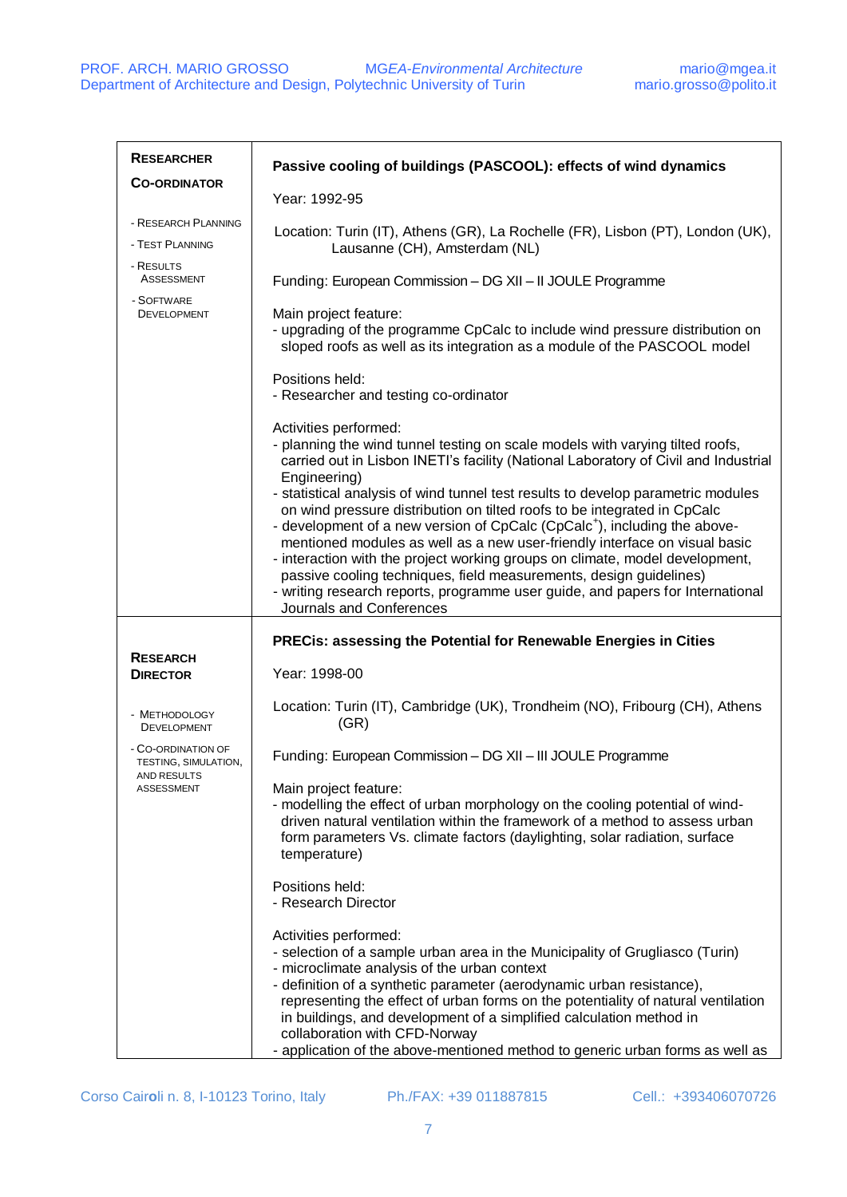| <b>RESEARCHER</b>                          | Passive cooling of buildings (PASCOOL): effects of wind dynamics                                                                                                                                                                                                                                                                                                                                                                                                                                                                                                                                        |
|--------------------------------------------|---------------------------------------------------------------------------------------------------------------------------------------------------------------------------------------------------------------------------------------------------------------------------------------------------------------------------------------------------------------------------------------------------------------------------------------------------------------------------------------------------------------------------------------------------------------------------------------------------------|
| <b>CO-ORDINATOR</b>                        | Year: 1992-95                                                                                                                                                                                                                                                                                                                                                                                                                                                                                                                                                                                           |
| - RESEARCH PLANNING<br>- TEST PLANNING     | Location: Turin (IT), Athens (GR), La Rochelle (FR), Lisbon (PT), London (UK),<br>Lausanne (CH), Amsterdam (NL)                                                                                                                                                                                                                                                                                                                                                                                                                                                                                         |
| - RESULTS<br><b>ASSESSMENT</b>             | Funding: European Commission - DG XII - II JOULE Programme                                                                                                                                                                                                                                                                                                                                                                                                                                                                                                                                              |
| - SOFTWARE<br><b>DEVELOPMENT</b>           | Main project feature:<br>- upgrading of the programme CpCalc to include wind pressure distribution on<br>sloped roofs as well as its integration as a module of the PASCOOL model                                                                                                                                                                                                                                                                                                                                                                                                                       |
|                                            | Positions held:<br>- Researcher and testing co-ordinator                                                                                                                                                                                                                                                                                                                                                                                                                                                                                                                                                |
|                                            | Activities performed:<br>- planning the wind tunnel testing on scale models with varying tilted roofs,<br>carried out in Lisbon INETI's facility (National Laboratory of Civil and Industrial<br>Engineering)                                                                                                                                                                                                                                                                                                                                                                                           |
|                                            | - statistical analysis of wind tunnel test results to develop parametric modules<br>on wind pressure distribution on tilted roofs to be integrated in CpCalc<br>- development of a new version of CpCalc (CpCalc <sup>+</sup> ), including the above-<br>mentioned modules as well as a new user-friendly interface on visual basic<br>- interaction with the project working groups on climate, model development,<br>passive cooling techniques, field measurements, design guidelines)<br>- writing research reports, programme user guide, and papers for International<br>Journals and Conferences |
|                                            | PRECis: assessing the Potential for Renewable Energies in Cities                                                                                                                                                                                                                                                                                                                                                                                                                                                                                                                                        |
| <b>RESEARCH</b><br><b>DIRECTOR</b>         | Year: 1998-00                                                                                                                                                                                                                                                                                                                                                                                                                                                                                                                                                                                           |
| - METHODOLOGY<br><b>DEVELOPMENT</b>        | Location: Turin (IT), Cambridge (UK), Trondheim (NO), Fribourg (CH), Athens<br>(GR)                                                                                                                                                                                                                                                                                                                                                                                                                                                                                                                     |
| - CO-ORDINATION OF<br>TESTING, SIMULATION, | Funding: European Commission - DG XII - III JOULE Programme                                                                                                                                                                                                                                                                                                                                                                                                                                                                                                                                             |
| AND RESULTS<br><b>ASSESSMENT</b>           | Main project feature:<br>- modelling the effect of urban morphology on the cooling potential of wind-<br>driven natural ventilation within the framework of a method to assess urban<br>form parameters Vs. climate factors (daylighting, solar radiation, surface<br>temperature)                                                                                                                                                                                                                                                                                                                      |
|                                            | Positions held:<br>- Research Director                                                                                                                                                                                                                                                                                                                                                                                                                                                                                                                                                                  |
|                                            | Activities performed:<br>- selection of a sample urban area in the Municipality of Grugliasco (Turin)<br>- microclimate analysis of the urban context<br>- definition of a synthetic parameter (aerodynamic urban resistance),<br>representing the effect of urban forms on the potentiality of natural ventilation<br>in buildings, and development of a simplified calculation method in<br>collaboration with CFD-Norway<br>- application of the above-mentioned method to generic urban forms as well as                                                                                            |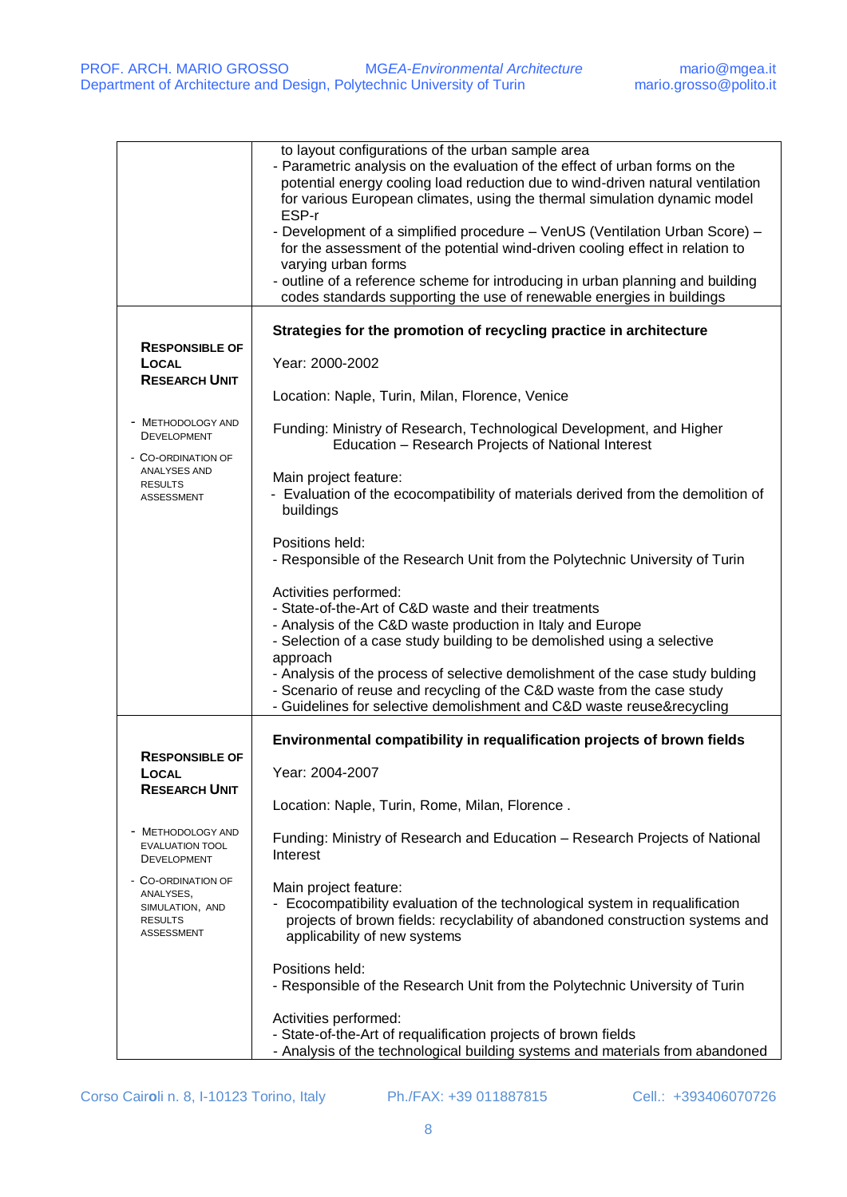|                                                                                           | to layout configurations of the urban sample area<br>- Parametric analysis on the evaluation of the effect of urban forms on the<br>potential energy cooling load reduction due to wind-driven natural ventilation<br>for various European climates, using the thermal simulation dynamic model<br>ESP-r<br>- Development of a simplified procedure - VenUS (Ventilation Urban Score) -<br>for the assessment of the potential wind-driven cooling effect in relation to<br>varying urban forms<br>- outline of a reference scheme for introducing in urban planning and building<br>codes standards supporting the use of renewable energies in buildings |
|-------------------------------------------------------------------------------------------|------------------------------------------------------------------------------------------------------------------------------------------------------------------------------------------------------------------------------------------------------------------------------------------------------------------------------------------------------------------------------------------------------------------------------------------------------------------------------------------------------------------------------------------------------------------------------------------------------------------------------------------------------------|
|                                                                                           |                                                                                                                                                                                                                                                                                                                                                                                                                                                                                                                                                                                                                                                            |
|                                                                                           | Strategies for the promotion of recycling practice in architecture                                                                                                                                                                                                                                                                                                                                                                                                                                                                                                                                                                                         |
| <b>RESPONSIBLE OF</b>                                                                     |                                                                                                                                                                                                                                                                                                                                                                                                                                                                                                                                                                                                                                                            |
| LOCAL                                                                                     | Year: 2000-2002                                                                                                                                                                                                                                                                                                                                                                                                                                                                                                                                                                                                                                            |
| <b>RESEARCH UNIT</b>                                                                      |                                                                                                                                                                                                                                                                                                                                                                                                                                                                                                                                                                                                                                                            |
|                                                                                           | Location: Naple, Turin, Milan, Florence, Venice                                                                                                                                                                                                                                                                                                                                                                                                                                                                                                                                                                                                            |
| <b>METHODOLOGY AND</b><br><b>DEVELOPMENT</b><br>- CO-ORDINATION OF                        | Funding: Ministry of Research, Technological Development, and Higher<br>Education - Research Projects of National Interest                                                                                                                                                                                                                                                                                                                                                                                                                                                                                                                                 |
| ANALYSES AND                                                                              | Main project feature:                                                                                                                                                                                                                                                                                                                                                                                                                                                                                                                                                                                                                                      |
| <b>RESULTS</b><br><b>ASSESSMENT</b>                                                       | - Evaluation of the ecocompatibility of materials derived from the demolition of<br>buildings                                                                                                                                                                                                                                                                                                                                                                                                                                                                                                                                                              |
|                                                                                           | Positions held:                                                                                                                                                                                                                                                                                                                                                                                                                                                                                                                                                                                                                                            |
|                                                                                           | - Responsible of the Research Unit from the Polytechnic University of Turin                                                                                                                                                                                                                                                                                                                                                                                                                                                                                                                                                                                |
|                                                                                           | Activities performed:                                                                                                                                                                                                                                                                                                                                                                                                                                                                                                                                                                                                                                      |
|                                                                                           | - State-of-the-Art of C&D waste and their treatments                                                                                                                                                                                                                                                                                                                                                                                                                                                                                                                                                                                                       |
|                                                                                           | - Analysis of the C&D waste production in Italy and Europe                                                                                                                                                                                                                                                                                                                                                                                                                                                                                                                                                                                                 |
|                                                                                           | - Selection of a case study building to be demolished using a selective                                                                                                                                                                                                                                                                                                                                                                                                                                                                                                                                                                                    |
|                                                                                           | approach                                                                                                                                                                                                                                                                                                                                                                                                                                                                                                                                                                                                                                                   |
|                                                                                           | - Analysis of the process of selective demolishment of the case study bulding<br>- Scenario of reuse and recycling of the C&D waste from the case study                                                                                                                                                                                                                                                                                                                                                                                                                                                                                                    |
|                                                                                           | - Guidelines for selective demolishment and C&D waste reuse&recycling                                                                                                                                                                                                                                                                                                                                                                                                                                                                                                                                                                                      |
|                                                                                           | Environmental compatibility in requalification projects of brown fields                                                                                                                                                                                                                                                                                                                                                                                                                                                                                                                                                                                    |
| <b>RESPONSIBLE OF</b><br>LOCAL                                                            | Year: 2004-2007                                                                                                                                                                                                                                                                                                                                                                                                                                                                                                                                                                                                                                            |
| <b>RESEARCH UNIT</b>                                                                      | Location: Naple, Turin, Rome, Milan, Florence.                                                                                                                                                                                                                                                                                                                                                                                                                                                                                                                                                                                                             |
| <b>METHODOLOGY AND</b><br><b>EVALUATION TOOL</b><br><b>DEVELOPMENT</b>                    | Funding: Ministry of Research and Education - Research Projects of National<br>Interest                                                                                                                                                                                                                                                                                                                                                                                                                                                                                                                                                                    |
| - CO-ORDINATION OF<br>ANALYSES,<br>SIMULATION, AND<br><b>RESULTS</b><br><b>ASSESSMENT</b> | Main project feature:<br>- Ecocompatibility evaluation of the technological system in requalification<br>projects of brown fields: recyclability of abandoned construction systems and<br>applicability of new systems                                                                                                                                                                                                                                                                                                                                                                                                                                     |
|                                                                                           | Positions held:<br>- Responsible of the Research Unit from the Polytechnic University of Turin                                                                                                                                                                                                                                                                                                                                                                                                                                                                                                                                                             |
|                                                                                           | Activities performed:<br>- State-of-the-Art of requalification projects of brown fields<br>- Analysis of the technological building systems and materials from abandoned                                                                                                                                                                                                                                                                                                                                                                                                                                                                                   |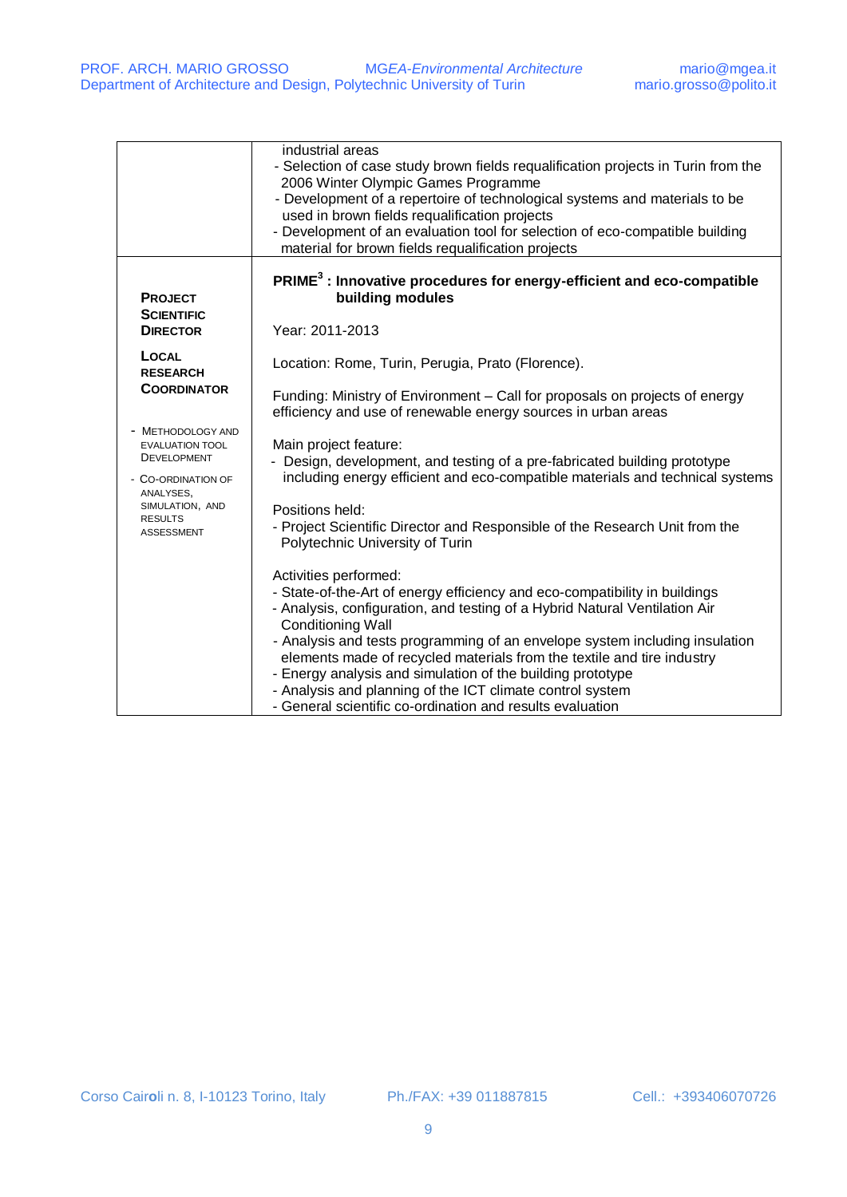|                                                                                                                                                                                                                         | industrial areas<br>- Selection of case study brown fields requalification projects in Turin from the<br>2006 Winter Olympic Games Programme<br>- Development of a repertoire of technological systems and materials to be<br>used in brown fields requalification projects<br>- Development of an evaluation tool for selection of eco-compatible building<br>material for brown fields requalification projects                                                                                                                                                                                                                                                                                                                                                                                                                                                                                                                                                                                                                                                                             |
|-------------------------------------------------------------------------------------------------------------------------------------------------------------------------------------------------------------------------|-----------------------------------------------------------------------------------------------------------------------------------------------------------------------------------------------------------------------------------------------------------------------------------------------------------------------------------------------------------------------------------------------------------------------------------------------------------------------------------------------------------------------------------------------------------------------------------------------------------------------------------------------------------------------------------------------------------------------------------------------------------------------------------------------------------------------------------------------------------------------------------------------------------------------------------------------------------------------------------------------------------------------------------------------------------------------------------------------|
| <b>PROJECT</b><br><b>SCIENTIFIC</b><br><b>DIRECTOR</b>                                                                                                                                                                  | PRIME <sup>3</sup> : Innovative procedures for energy-efficient and eco-compatible<br>building modules<br>Year: 2011-2013                                                                                                                                                                                                                                                                                                                                                                                                                                                                                                                                                                                                                                                                                                                                                                                                                                                                                                                                                                     |
| <b>LOCAL</b><br><b>RESEARCH</b><br><b>COORDINATOR</b><br>- METHODOLOGY AND<br><b>EVALUATION TOOL</b><br><b>DEVELOPMENT</b><br>- CO-ORDINATION OF<br>ANALYSES,<br>SIMULATION, AND<br><b>RESULTS</b><br><b>ASSESSMENT</b> | Location: Rome, Turin, Perugia, Prato (Florence).<br>Funding: Ministry of Environment - Call for proposals on projects of energy<br>efficiency and use of renewable energy sources in urban areas<br>Main project feature:<br>Design, development, and testing of a pre-fabricated building prototype<br>including energy efficient and eco-compatible materials and technical systems<br>Positions held:<br>- Project Scientific Director and Responsible of the Research Unit from the<br>Polytechnic University of Turin<br>Activities performed:<br>- State-of-the-Art of energy efficiency and eco-compatibility in buildings<br>- Analysis, configuration, and testing of a Hybrid Natural Ventilation Air<br><b>Conditioning Wall</b><br>- Analysis and tests programming of an envelope system including insulation<br>elements made of recycled materials from the textile and tire industry<br>- Energy analysis and simulation of the building prototype<br>- Analysis and planning of the ICT climate control system<br>- General scientific co-ordination and results evaluation |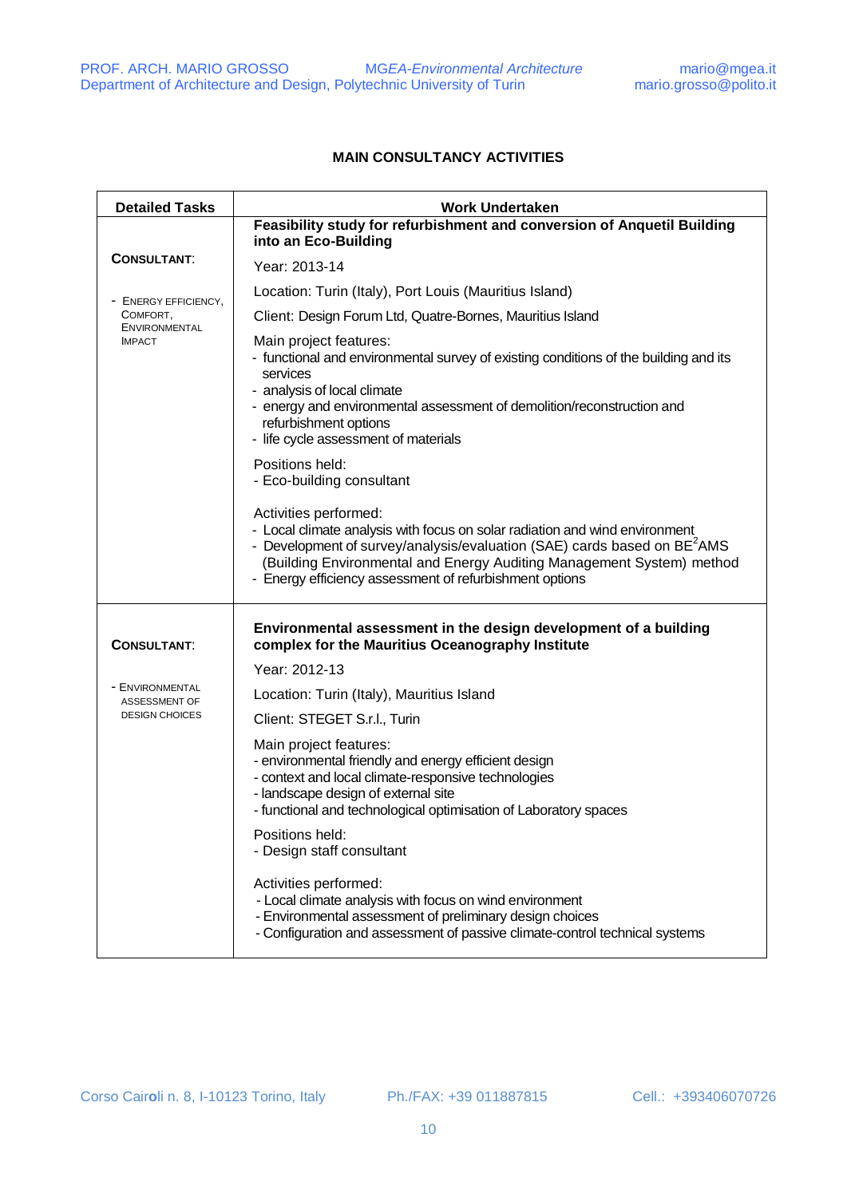## **MAIN CONSULTANCY ACTIVITIES**

| <b>Detailed Tasks</b>            | <b>Work Undertaken</b>                                                                                                                                                                                                                                                                                                                               |
|----------------------------------|------------------------------------------------------------------------------------------------------------------------------------------------------------------------------------------------------------------------------------------------------------------------------------------------------------------------------------------------------|
|                                  | Feasibility study for refurbishment and conversion of Anquetil Building<br>into an Eco-Building                                                                                                                                                                                                                                                      |
| <b>CONSULTANT:</b>               | Year: 2013-14                                                                                                                                                                                                                                                                                                                                        |
| <b>ENERGY EFFICIENCY,</b>        | Location: Turin (Italy), Port Louis (Mauritius Island)                                                                                                                                                                                                                                                                                               |
| COMFORT,<br><b>ENVIRONMENTAL</b> | Client: Design Forum Ltd, Quatre-Bornes, Mauritius Island                                                                                                                                                                                                                                                                                            |
| <b>IMPACT</b>                    | Main project features:<br>- functional and environmental survey of existing conditions of the building and its<br>services<br>- analysis of local climate<br>- energy and environmental assessment of demolition/reconstruction and<br>refurbishment options<br>- life cycle assessment of materials<br>Positions held:<br>- Eco-building consultant |
|                                  | Activities performed:<br>- Local climate analysis with focus on solar radiation and wind environment<br>- Development of survey/analysis/evaluation (SAE) cards based on $BE2AMS$<br>(Building Environmental and Energy Auditing Management System) method<br>- Energy efficiency assessment of refurbishment options                                |
| <b>CONSULTANT:</b>               | Environmental assessment in the design development of a building<br>complex for the Mauritius Oceanography Institute                                                                                                                                                                                                                                 |
|                                  | Year: 2012-13                                                                                                                                                                                                                                                                                                                                        |
| - ENVIRONMENTAL<br>ASSESSMENT OF | Location: Turin (Italy), Mauritius Island                                                                                                                                                                                                                                                                                                            |
| <b>DESIGN CHOICES</b>            | Client: STEGET S.r.l., Turin                                                                                                                                                                                                                                                                                                                         |
|                                  | Main project features:<br>- environmental friendly and energy efficient design<br>- context and local climate-responsive technologies<br>- landscape design of external site<br>- functional and technological optimisation of Laboratory spaces                                                                                                     |
|                                  | Positions held:<br>- Design staff consultant                                                                                                                                                                                                                                                                                                         |
|                                  | Activities performed:<br>- Local climate analysis with focus on wind environment<br>- Environmental assessment of preliminary design choices<br>- Configuration and assessment of passive climate-control technical systems                                                                                                                          |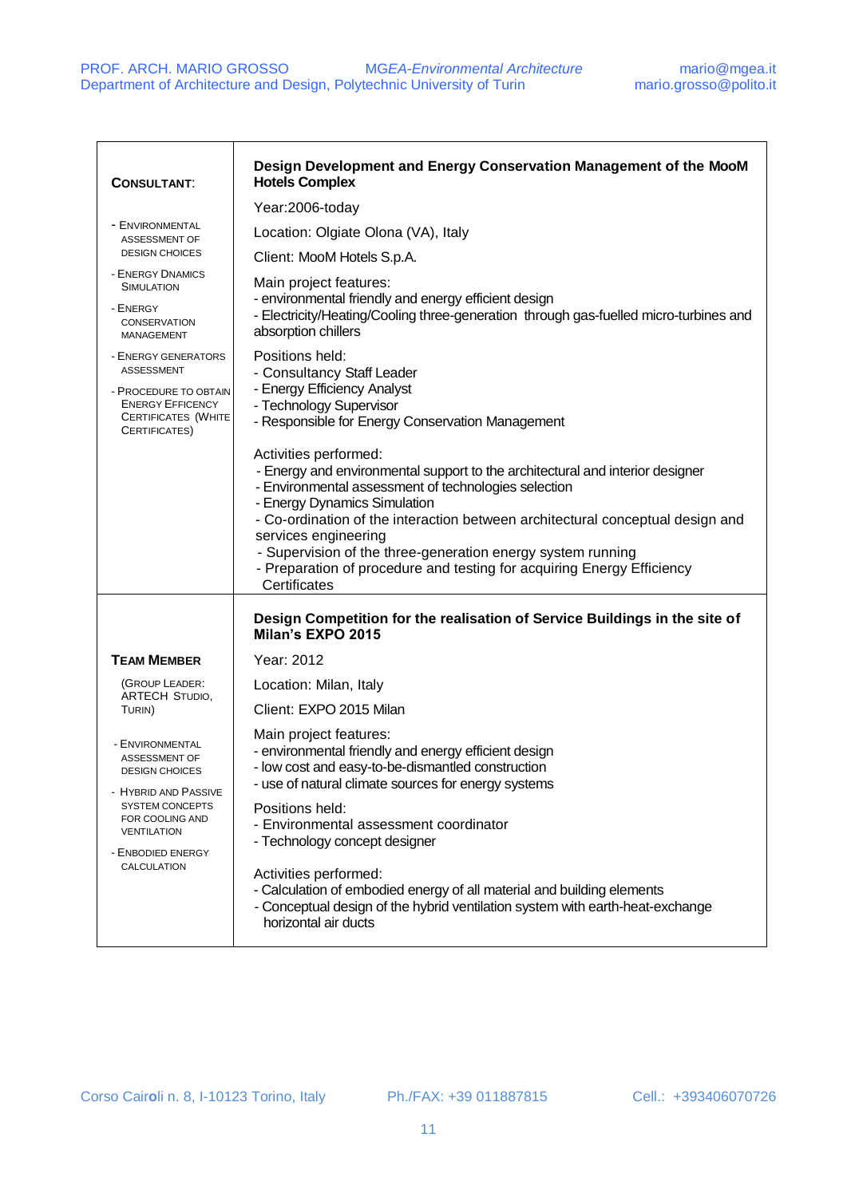| <b>CONSULTANT:</b>                                                                              | Design Development and Energy Conservation Management of the MooM<br><b>Hotels Complex</b>                                                                                                                                                                                                                                                                              |
|-------------------------------------------------------------------------------------------------|-------------------------------------------------------------------------------------------------------------------------------------------------------------------------------------------------------------------------------------------------------------------------------------------------------------------------------------------------------------------------|
|                                                                                                 | Year:2006-today                                                                                                                                                                                                                                                                                                                                                         |
| - ENVIRONMENTAL<br>ASSESSMENT OF                                                                | Location: Olgiate Olona (VA), Italy                                                                                                                                                                                                                                                                                                                                     |
| <b>DESIGN CHOICES</b>                                                                           | Client: MooM Hotels S.p.A.                                                                                                                                                                                                                                                                                                                                              |
| - ENERGY DNAMICS<br><b>SIMULATION</b>                                                           | Main project features:                                                                                                                                                                                                                                                                                                                                                  |
| - ENERGY<br><b>CONSERVATION</b><br><b>MANAGEMENT</b>                                            | - environmental friendly and energy efficient design<br>- Electricity/Heating/Cooling three-generation through gas-fuelled micro-turbines and<br>absorption chillers                                                                                                                                                                                                    |
| - ENERGY GENERATORS<br>ASSESSMENT                                                               | Positions held:<br>- Consultancy Staff Leader                                                                                                                                                                                                                                                                                                                           |
| - PROCEDURE TO OBTAIN<br><b>ENERGY EFFICENCY</b><br><b>CERTIFICATES (WHITE</b><br>CERTIFICATES) | - Energy Efficiency Analyst<br>- Technology Supervisor<br>- Responsible for Energy Conservation Management                                                                                                                                                                                                                                                              |
|                                                                                                 | Activities performed:<br>- Energy and environmental support to the architectural and interior designer<br>- Environmental assessment of technologies selection<br>- Energy Dynamics Simulation<br>- Co-ordination of the interaction between architectural conceptual design and<br>services engineering<br>- Supervision of the three-generation energy system running |
|                                                                                                 | - Preparation of procedure and testing for acquiring Energy Efficiency<br>Certificates                                                                                                                                                                                                                                                                                  |
|                                                                                                 | Design Competition for the realisation of Service Buildings in the site of<br>Milan's EXPO 2015                                                                                                                                                                                                                                                                         |
| <b>TEAM MEMBER</b>                                                                              | Year: 2012                                                                                                                                                                                                                                                                                                                                                              |
| (GROUP LEADER:                                                                                  | Location: Milan, Italy                                                                                                                                                                                                                                                                                                                                                  |
| ARTECH STUDIO,<br>TURIN)                                                                        | Client: EXPO 2015 Milan                                                                                                                                                                                                                                                                                                                                                 |
| - ENVIRONMENTAL<br>ASSESSMENT OF<br><b>DESIGN CHOICES</b><br>- HYBRID AND PASSIVE               | Main project features:<br>- environmental friendly and energy efficient design<br>- low cost and easy-to-be-dismantled construction<br>use of natural climate sources for energy systems                                                                                                                                                                                |
| <b>SYSTEM CONCEPTS</b><br>FOR COOLING AND<br><b>VENTILATION</b><br>- ENBODIED ENERGY            | Positions held:<br>- Environmental assessment coordinator<br>- Technology concept designer                                                                                                                                                                                                                                                                              |
| CALCULATION                                                                                     | Activities performed:<br>- Calculation of embodied energy of all material and building elements<br>- Conceptual design of the hybrid ventilation system with earth-heat-exchange<br>horizontal air ducts                                                                                                                                                                |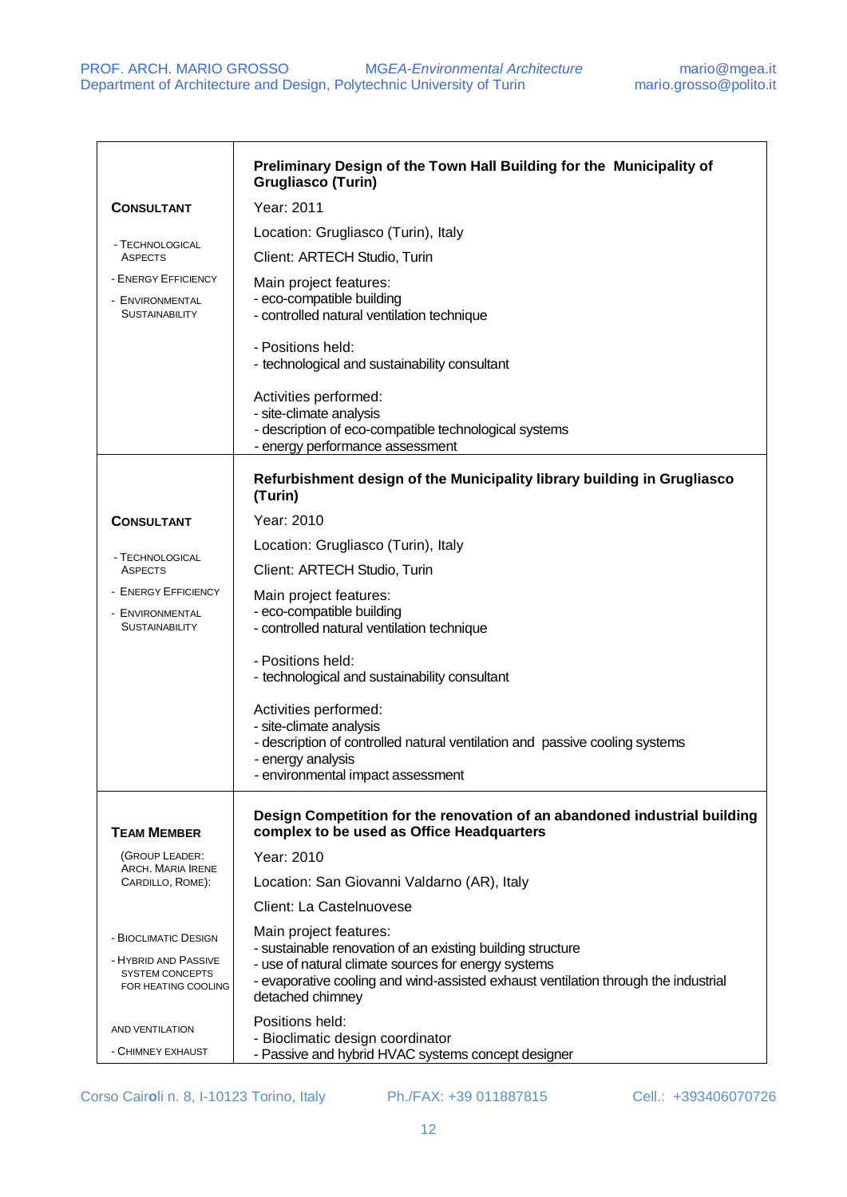|                                                                                               | Preliminary Design of the Town Hall Building for the Municipality of<br><b>Grugliasco (Turin)</b>                                                                                                                                                     |
|-----------------------------------------------------------------------------------------------|-------------------------------------------------------------------------------------------------------------------------------------------------------------------------------------------------------------------------------------------------------|
| <b>CONSULTANT</b>                                                                             | Year: 2011                                                                                                                                                                                                                                            |
|                                                                                               | Location: Grugliasco (Turin), Italy                                                                                                                                                                                                                   |
| - TECHNOLOGICAL<br><b>ASPECTS</b>                                                             | Client: ARTECH Studio, Turin                                                                                                                                                                                                                          |
| - ENERGY EFFICIENCY<br>- ENVIRONMENTAL<br><b>SUSTAINABILITY</b>                               | Main project features:<br>- eco-compatible building<br>- controlled natural ventilation technique                                                                                                                                                     |
|                                                                                               | - Positions held:<br>- technological and sustainability consultant                                                                                                                                                                                    |
|                                                                                               | Activities performed:<br>- site-climate analysis<br>- description of eco-compatible technological systems<br>- energy performance assessment                                                                                                          |
|                                                                                               | Refurbishment design of the Municipality library building in Grugliasco<br>(Turin)                                                                                                                                                                    |
| <b>CONSULTANT</b>                                                                             | Year: 2010                                                                                                                                                                                                                                            |
|                                                                                               | Location: Grugliasco (Turin), Italy                                                                                                                                                                                                                   |
| - TECHNOLOGICAL<br><b>ASPECTS</b>                                                             | Client: ARTECH Studio, Turin                                                                                                                                                                                                                          |
| <b>ENERGY EFFICIENCY</b><br>- ENVIRONMENTAL<br><b>SUSTAINABILITY</b>                          | Main project features:<br>- eco-compatible building<br>- controlled natural ventilation technique                                                                                                                                                     |
|                                                                                               | - Positions held:<br>- technological and sustainability consultant                                                                                                                                                                                    |
|                                                                                               | Activities performed:<br>- site-climate analysis<br>- description of controlled natural ventilation and passive cooling systems<br>- energy analysis<br>- environmental impact assessment                                                             |
| <b>TEAM MEMBER</b>                                                                            | Design Competition for the renovation of an abandoned industrial building<br>complex to be used as Office Headquarters                                                                                                                                |
| (GROUP LEADER:<br>ARCH. MARIA IRENE                                                           | Year: 2010                                                                                                                                                                                                                                            |
| CARDILLO, ROME):                                                                              | Location: San Giovanni Valdarno (AR), Italy                                                                                                                                                                                                           |
|                                                                                               | Client: La Castelnuovese                                                                                                                                                                                                                              |
| - BIOCLIMATIC DESIGN<br>- HYBRID AND PASSIVE<br><b>SYSTEM CONCEPTS</b><br>FOR HEATING COOLING | Main project features:<br>- sustainable renovation of an existing building structure<br>- use of natural climate sources for energy systems<br>- evaporative cooling and wind-assisted exhaust ventilation through the industrial<br>detached chimney |
| AND VENTILATION<br>- CHIMNEY EXHAUST                                                          | Positions held:<br>- Bioclimatic design coordinator<br>- Passive and hybrid HVAC systems concept designer                                                                                                                                             |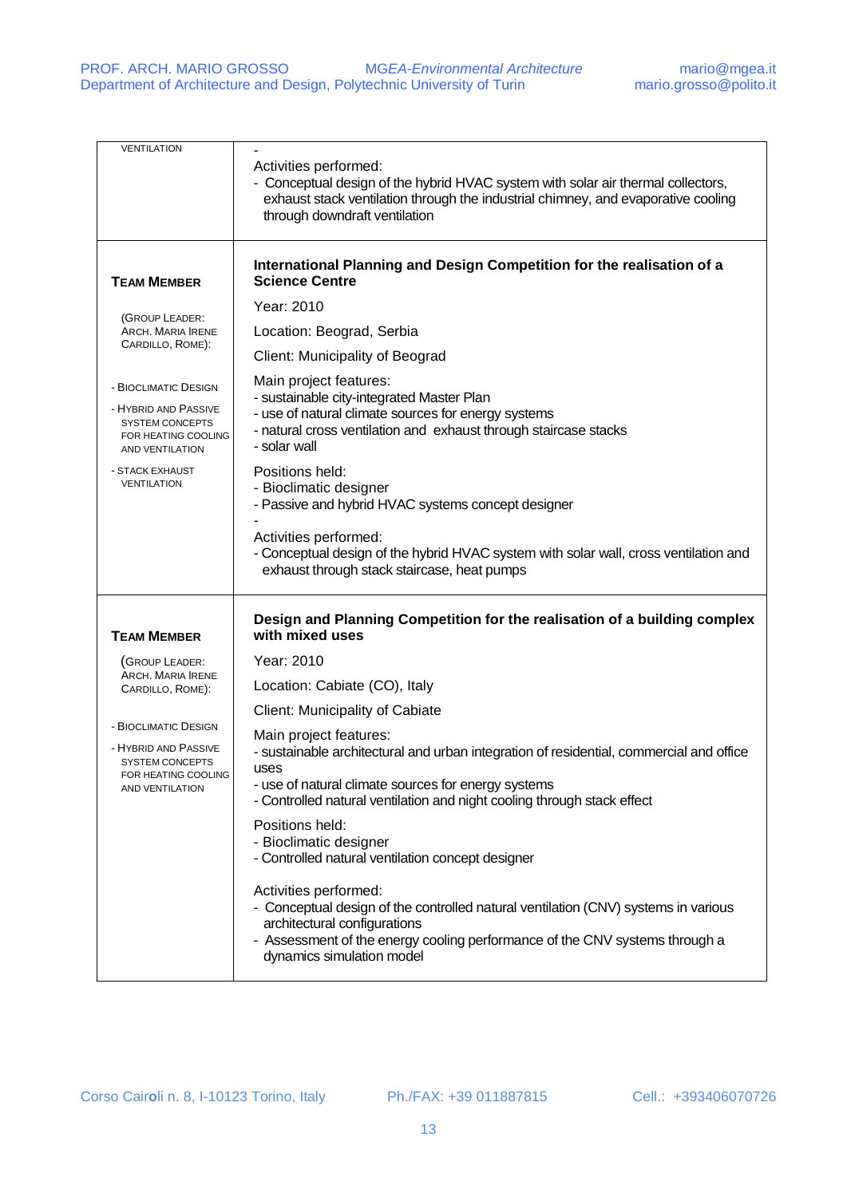| <b>VENTILATION</b>                                                                                                      | Activities performed:<br>- Conceptual design of the hybrid HVAC system with solar air thermal collectors,<br>exhaust stack ventilation through the industrial chimney, and evaporative cooling<br>through downdraft ventilation                         |
|-------------------------------------------------------------------------------------------------------------------------|---------------------------------------------------------------------------------------------------------------------------------------------------------------------------------------------------------------------------------------------------------|
|                                                                                                                         |                                                                                                                                                                                                                                                         |
| <b>TEAM MEMBER</b>                                                                                                      | International Planning and Design Competition for the realisation of a<br><b>Science Centre</b>                                                                                                                                                         |
| (GROUP LEADER:                                                                                                          | Year: 2010                                                                                                                                                                                                                                              |
| ARCH. MARIA IRENE                                                                                                       | Location: Beograd, Serbia                                                                                                                                                                                                                               |
| CARDILLO, ROME):                                                                                                        | Client: Municipality of Beograd                                                                                                                                                                                                                         |
| - BIOCLIMATIC DESIGN                                                                                                    | Main project features:                                                                                                                                                                                                                                  |
| - HYBRID AND PASSIVE<br><b>SYSTEM CONCEPTS</b><br>FOR HEATING COOLING<br>AND VENTILATION                                | - sustainable city-integrated Master Plan<br>- use of natural climate sources for energy systems<br>- natural cross ventilation and exhaust through staircase stacks<br>- solar wall                                                                    |
| - STACK EXHAUST<br><b>VENTILATION</b>                                                                                   | Positions held:<br>- Bioclimatic designer<br>- Passive and hybrid HVAC systems concept designer                                                                                                                                                         |
|                                                                                                                         | Activities performed:<br>- Conceptual design of the hybrid HVAC system with solar wall, cross ventilation and<br>exhaust through stack staircase, heat pumps                                                                                            |
| <b>TEAM MEMBER</b>                                                                                                      | Design and Planning Competition for the realisation of a building complex<br>with mixed uses                                                                                                                                                            |
| (GROUP LEADER:                                                                                                          | Year: 2010                                                                                                                                                                                                                                              |
| ARCH. MARIA IRENE<br>CARDILLO, ROME):                                                                                   | Location: Cabiate (CO), Italy                                                                                                                                                                                                                           |
|                                                                                                                         | Client: Municipality of Cabiate                                                                                                                                                                                                                         |
| - BIOCLIMATIC DESIGN<br>- HYBRID AND PASSIVE<br><b>SYSTEM CONCEPTS</b><br>FOR HEATING COOLING<br><b>AND VENTILATION</b> | Main project features:                                                                                                                                                                                                                                  |
|                                                                                                                         | - sustainable architectural and urban integration of residential, commercial and office<br>uses<br>- use of natural climate sources for energy systems<br>- Controlled natural ventilation and night cooling through stack effect                       |
|                                                                                                                         | Positions held:<br>- Bioclimatic designer<br>- Controlled natural ventilation concept designer                                                                                                                                                          |
|                                                                                                                         | Activities performed:<br>- Conceptual design of the controlled natural ventilation (CNV) systems in various<br>architectural configurations<br>- Assessment of the energy cooling performance of the CNV systems through a<br>dynamics simulation model |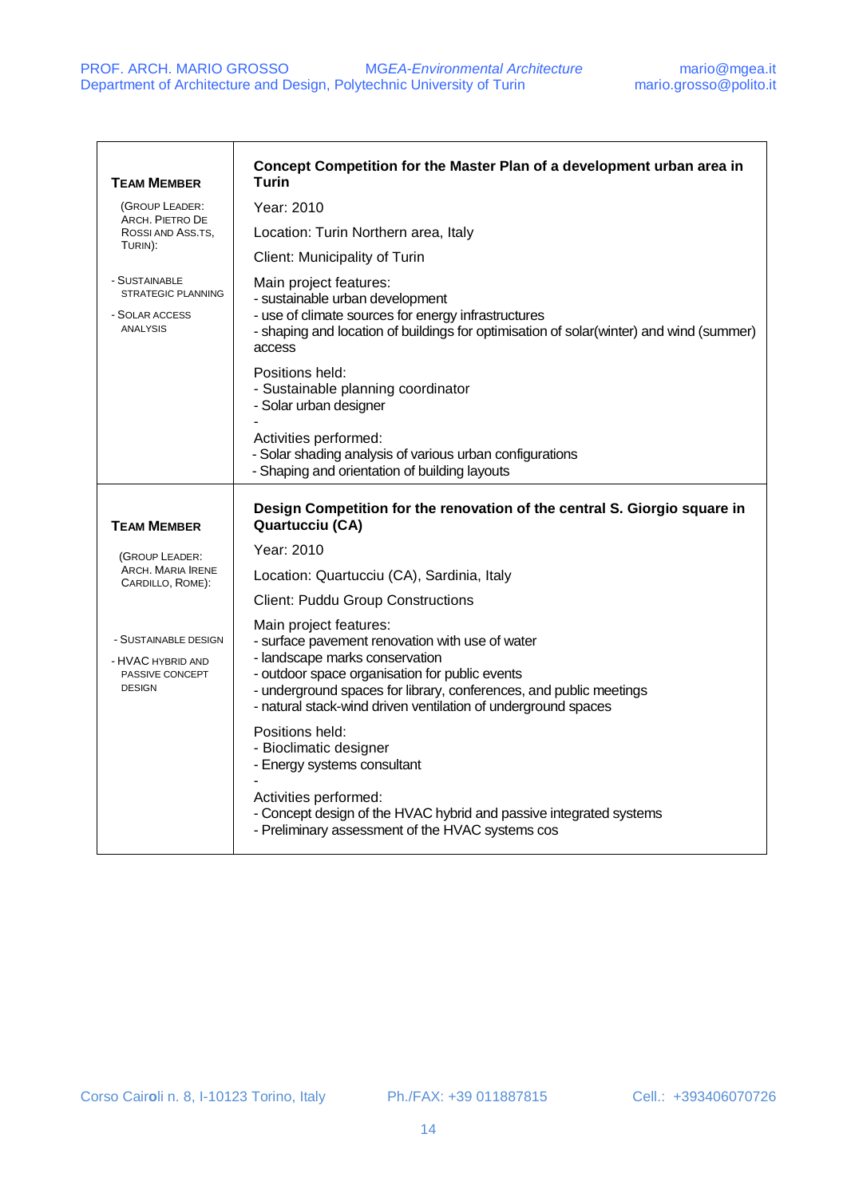| <b>TEAM MEMBER</b>                                                | Concept Competition for the Master Plan of a development urban area in<br>Turin                                                                                                       |
|-------------------------------------------------------------------|---------------------------------------------------------------------------------------------------------------------------------------------------------------------------------------|
| (GROUP LEADER:<br>ARCH. PIETRO DE<br>ROSSI AND ASS.TS,<br>TURIN): | Year: 2010                                                                                                                                                                            |
|                                                                   | Location: Turin Northern area, Italy                                                                                                                                                  |
|                                                                   | Client: Municipality of Turin                                                                                                                                                         |
| - SUSTAINABLE<br><b>STRATEGIC PLANNING</b>                        | Main project features:<br>- sustainable urban development                                                                                                                             |
| - SOLAR ACCESS<br><b>ANALYSIS</b>                                 | - use of climate sources for energy infrastructures<br>- shaping and location of buildings for optimisation of solar(winter) and wind (summer)<br>access                              |
|                                                                   | Positions held:<br>- Sustainable planning coordinator<br>- Solar urban designer                                                                                                       |
|                                                                   | Activities performed:<br>- Solar shading analysis of various urban configurations<br>- Shaping and orientation of building layouts                                                    |
| <b>TEAM MEMBER</b>                                                | Design Competition for the renovation of the central S. Giorgio square in<br><b>Quartucciu (CA)</b>                                                                                   |
| (GROUP LEADER:                                                    | Year: 2010                                                                                                                                                                            |
| ARCH. MARIA IRENE<br>CARDILLO, ROME):                             | Location: Quartucciu (CA), Sardinia, Italy                                                                                                                                            |
|                                                                   | <b>Client: Puddu Group Constructions</b>                                                                                                                                              |
| - SUSTAINABLE DESIGN                                              | Main project features:                                                                                                                                                                |
| - HVAC HYBRID AND                                                 | - surface pavement renovation with use of water<br>- landscape marks conservation                                                                                                     |
| PASSIVE CONCEPT<br><b>DESIGN</b>                                  | - outdoor space organisation for public events<br>- underground spaces for library, conferences, and public meetings<br>- natural stack-wind driven ventilation of underground spaces |
|                                                                   | Positions held:<br>- Bioclimatic designer<br>- Energy systems consultant                                                                                                              |
|                                                                   | Activities performed:<br>- Concept design of the HVAC hybrid and passive integrated systems<br>- Preliminary assessment of the HVAC systems cos                                       |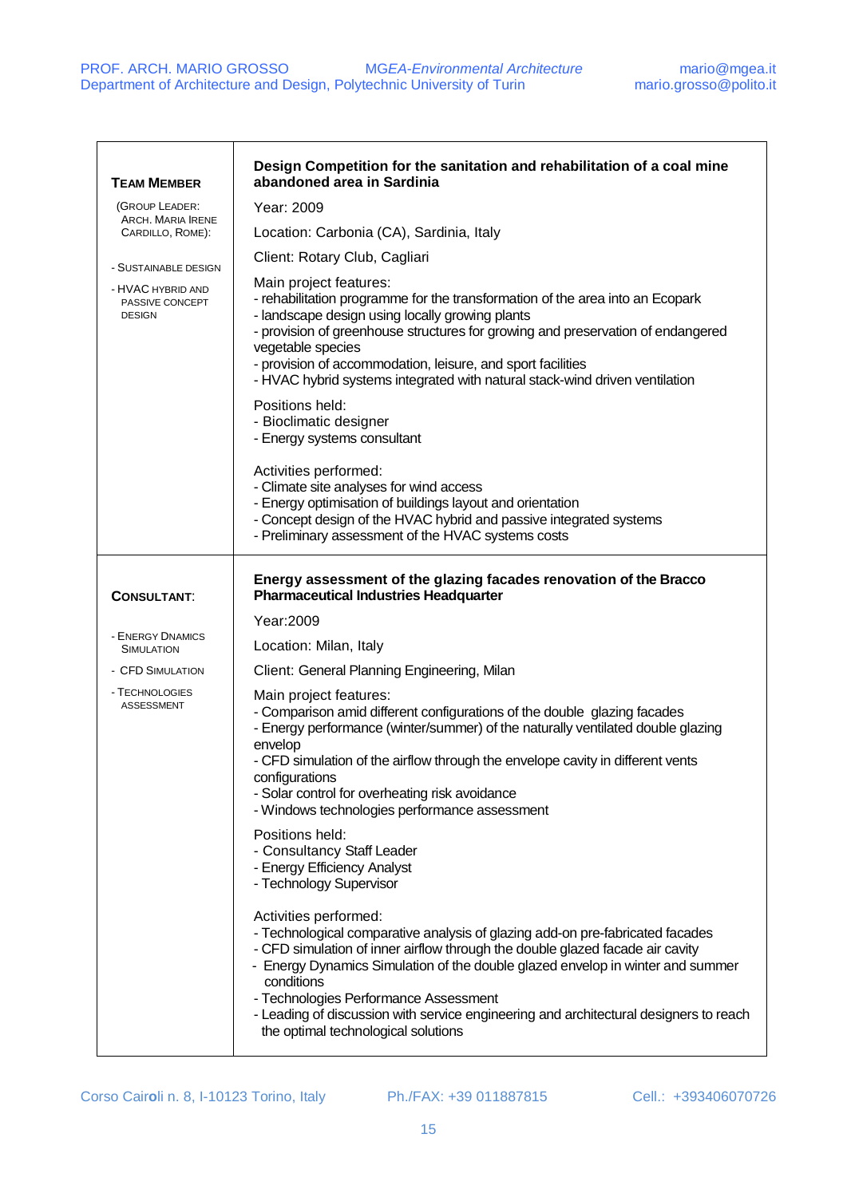| <b>TEAM MEMBER</b>                                    | Design Competition for the sanitation and rehabilitation of a coal mine<br>abandoned area in Sardinia                                                                                                                                                                                                                                                                                                                                                            |
|-------------------------------------------------------|------------------------------------------------------------------------------------------------------------------------------------------------------------------------------------------------------------------------------------------------------------------------------------------------------------------------------------------------------------------------------------------------------------------------------------------------------------------|
| (GROUP LEADER:                                        | Year: 2009                                                                                                                                                                                                                                                                                                                                                                                                                                                       |
| ARCH. MARIA IRENE<br>CARDILLO, ROME):                 | Location: Carbonia (CA), Sardinia, Italy                                                                                                                                                                                                                                                                                                                                                                                                                         |
| - SUSTAINABLE DESIGN                                  | Client: Rotary Club, Cagliari                                                                                                                                                                                                                                                                                                                                                                                                                                    |
| - HVAC HYBRID AND<br>PASSIVE CONCEPT<br><b>DESIGN</b> | Main project features:<br>- rehabilitation programme for the transformation of the area into an Ecopark<br>- landscape design using locally growing plants<br>- provision of greenhouse structures for growing and preservation of endangered<br>vegetable species<br>- provision of accommodation, leisure, and sport facilities<br>- HVAC hybrid systems integrated with natural stack-wind driven ventilation                                                 |
|                                                       | Positions held:<br>- Bioclimatic designer<br>- Energy systems consultant                                                                                                                                                                                                                                                                                                                                                                                         |
|                                                       | Activities performed:<br>- Climate site analyses for wind access<br>- Energy optimisation of buildings layout and orientation<br>- Concept design of the HVAC hybrid and passive integrated systems<br>- Preliminary assessment of the HVAC systems costs                                                                                                                                                                                                        |
| <b>CONSULTANT:</b>                                    | Energy assessment of the glazing facades renovation of the Bracco<br><b>Pharmaceutical Industries Headquarter</b>                                                                                                                                                                                                                                                                                                                                                |
|                                                       | Year: 2009                                                                                                                                                                                                                                                                                                                                                                                                                                                       |
| - ENERGY DNAMICS<br><b>SIMULATION</b>                 | Location: Milan, Italy                                                                                                                                                                                                                                                                                                                                                                                                                                           |
| - CFD SIMULATION                                      | Client: General Planning Engineering, Milan                                                                                                                                                                                                                                                                                                                                                                                                                      |
| - TECHNOLOGIES<br><b>ASSESSMENT</b>                   | Main project features:<br>- Comparison amid different configurations of the double glazing facades<br>- Energy performance (winter/summer) of the naturally ventilated double glazing<br>envelop<br>- CFD simulation of the airflow through the envelope cavity in different vents<br>configurations<br>- Solar control for overheating risk avoidance<br>- Windows technologies performance assessment                                                          |
|                                                       | Positions held:<br>- Consultancy Staff Leader<br>- Energy Efficiency Analyst<br>- Technology Supervisor                                                                                                                                                                                                                                                                                                                                                          |
|                                                       | Activities performed:<br>- Technological comparative analysis of glazing add-on pre-fabricated facades<br>- CFD simulation of inner airflow through the double glazed facade air cavity<br>- Energy Dynamics Simulation of the double glazed envelop in winter and summer<br>conditions<br>- Technologies Performance Assessment<br>- Leading of discussion with service engineering and architectural designers to reach<br>the optimal technological solutions |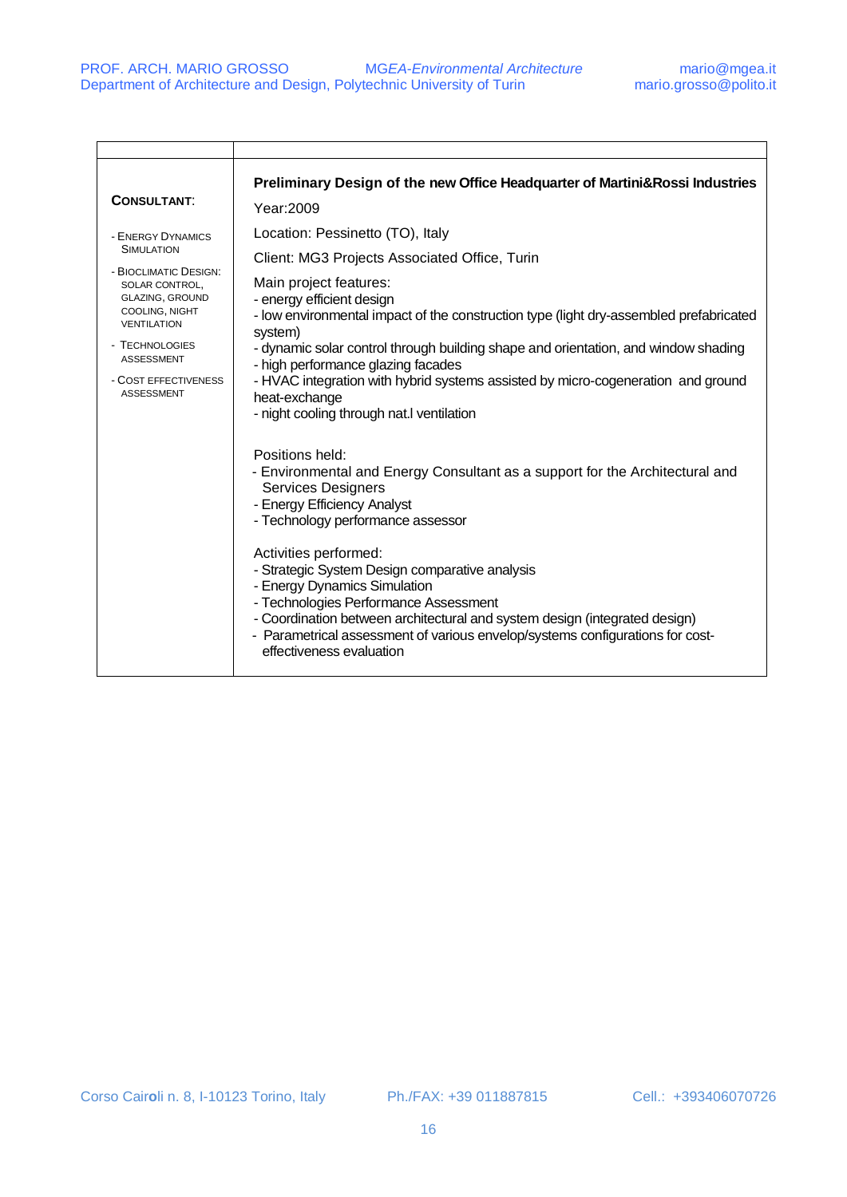| <b>CONSULTANT:</b>                                                                                                                                                                                                                      | Preliminary Design of the new Office Headquarter of Martini& Rossi Industries<br>Year: 2009                                                                                                                                                                                                                                                                                                                                                                                                                                                                                                                                                                                                                                                                                                                                                |
|-----------------------------------------------------------------------------------------------------------------------------------------------------------------------------------------------------------------------------------------|--------------------------------------------------------------------------------------------------------------------------------------------------------------------------------------------------------------------------------------------------------------------------------------------------------------------------------------------------------------------------------------------------------------------------------------------------------------------------------------------------------------------------------------------------------------------------------------------------------------------------------------------------------------------------------------------------------------------------------------------------------------------------------------------------------------------------------------------|
| - ENERGY DYNAMICS<br><b>SIMULATION</b><br>- BIOCLIMATIC DESIGN:<br>SOLAR CONTROL,<br><b>GLAZING, GROUND</b><br>COOLING, NIGHT<br><b>VENTILATION</b><br>- TECHNOLOGIES<br><b>ASSESSMENT</b><br>- COST EFFECTIVENESS<br><b>ASSESSMENT</b> | Location: Pessinetto (TO), Italy<br>Client: MG3 Projects Associated Office, Turin<br>Main project features:<br>- energy efficient design<br>- low environmental impact of the construction type (light dry-assembled prefabricated<br>system)<br>- dynamic solar control through building shape and orientation, and window shading<br>- high performance glazing facades<br>- HVAC integration with hybrid systems assisted by micro-cogeneration and ground<br>heat-exchange<br>- night cooling through nat.I ventilation<br>Positions held:<br>- Environmental and Energy Consultant as a support for the Architectural and<br><b>Services Designers</b><br>- Energy Efficiency Analyst<br>- Technology performance assessor<br>Activities performed:<br>- Strategic System Design comparative analysis<br>- Energy Dynamics Simulation |
|                                                                                                                                                                                                                                         | - Technologies Performance Assessment<br>- Coordination between architectural and system design (integrated design)<br>- Parametrical assessment of various envelop/systems configurations for cost-<br>effectiveness evaluation                                                                                                                                                                                                                                                                                                                                                                                                                                                                                                                                                                                                           |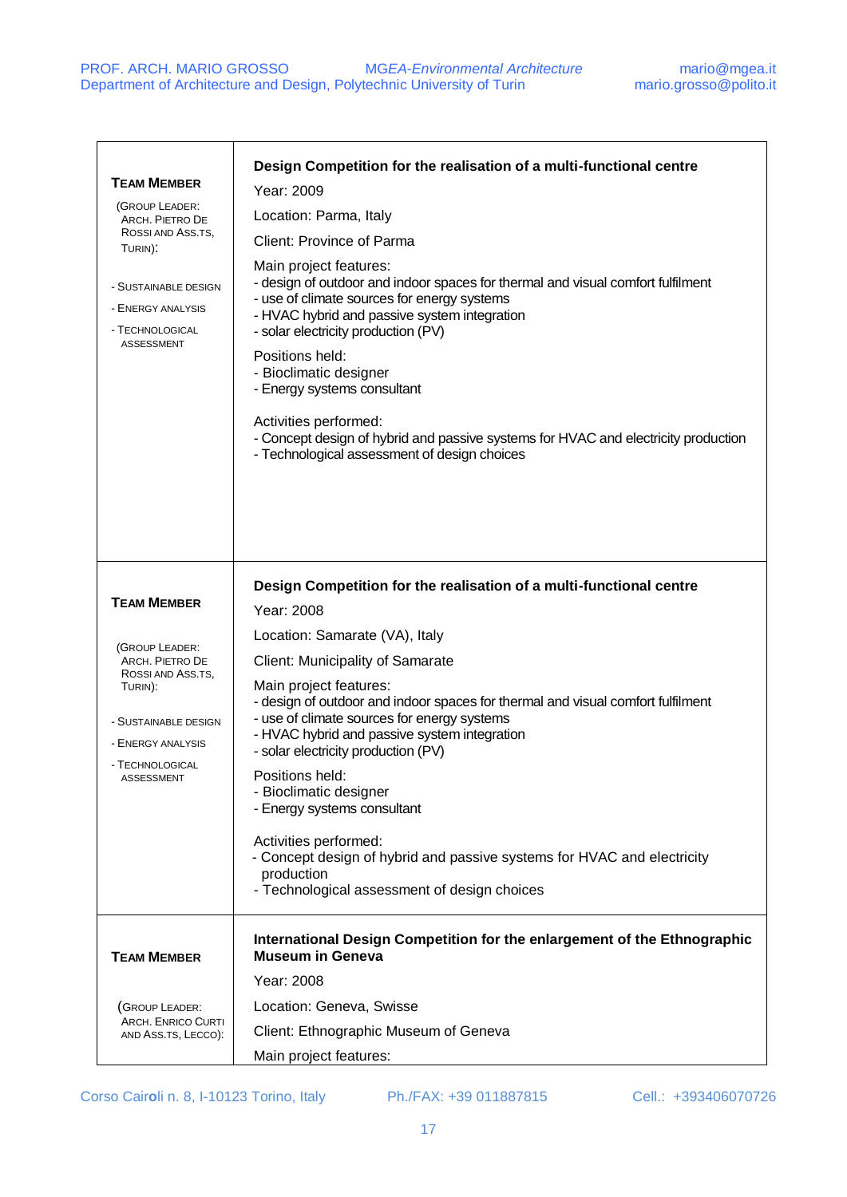| <b>TEAM MEMBER</b><br>(GROUP LEADER:<br>ARCH. PIETRO DE<br>ROSSI AND ASS.TS.<br>TURIN):<br>- SUSTAINABLE DESIGN<br>- ENERGY ANALYSIS<br>- TECHNOLOGICAL<br><b>ASSESSMENT</b> | Design Competition for the realisation of a multi-functional centre<br>Year: 2009<br>Location: Parma, Italy<br>Client: Province of Parma<br>Main project features:<br>- design of outdoor and indoor spaces for thermal and visual comfort fulfilment<br>- use of climate sources for energy systems<br>- HVAC hybrid and passive system integration<br>- solar electricity production (PV)<br>Positions held:<br>- Bioclimatic designer<br>- Energy systems consultant<br>Activities performed:<br>- Concept design of hybrid and passive systems for HVAC and electricity production<br>- Technological assessment of design choices                   |
|------------------------------------------------------------------------------------------------------------------------------------------------------------------------------|----------------------------------------------------------------------------------------------------------------------------------------------------------------------------------------------------------------------------------------------------------------------------------------------------------------------------------------------------------------------------------------------------------------------------------------------------------------------------------------------------------------------------------------------------------------------------------------------------------------------------------------------------------|
| <b>TEAM MEMBER</b><br>(GROUP LEADER:<br>ARCH. PIETRO DE<br>ROSSI AND ASS.TS,<br>TURIN):<br>- SUSTAINABLE DESIGN<br>- ENERGY ANALYSIS<br>- TECHNOLOGICAL<br>ASSESSMENT        | Design Competition for the realisation of a multi-functional centre<br>Year: 2008<br>Location: Samarate (VA), Italy<br>Client: Municipality of Samarate<br>Main project features:<br>- design of outdoor and indoor spaces for thermal and visual comfort fulfilment<br>- use of climate sources for energy systems<br>- HVAC hybrid and passive system integration<br>- solar electricity production (PV)<br>Positions held:<br>- Bioclimatic designer<br>- Energy systems consultant<br>Activities performed:<br>- Concept design of hybrid and passive systems for HVAC and electricity<br>production<br>- Technological assessment of design choices |
| <b>TEAM MEMBER</b>                                                                                                                                                           | International Design Competition for the enlargement of the Ethnographic<br><b>Museum in Geneva</b><br>Year: 2008                                                                                                                                                                                                                                                                                                                                                                                                                                                                                                                                        |
| (GROUP LEADER:<br><b>ARCH. ENRICO CURTI</b><br>AND ASS.TS, LECCO):                                                                                                           | Location: Geneva, Swisse<br>Client: Ethnographic Museum of Geneva<br>Main project features:                                                                                                                                                                                                                                                                                                                                                                                                                                                                                                                                                              |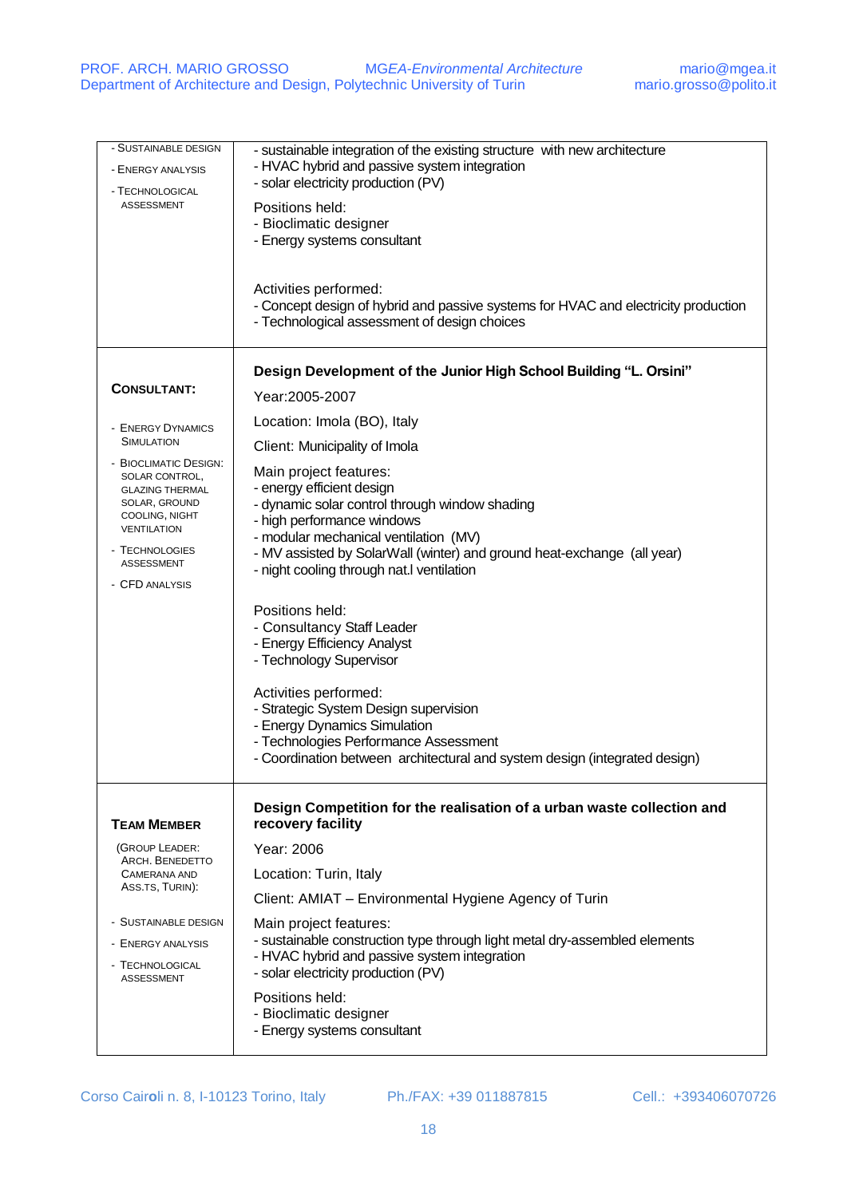| - SUSTAINABLE DESIGN<br>- ENERGY ANALYSIS<br>- TECHNOLOGICAL<br><b>ASSESSMENT</b>                                                                                                   | - sustainable integration of the existing structure with new architecture<br>- HVAC hybrid and passive system integration<br>- solar electricity production (PV)<br>Positions held:<br>- Bioclimatic designer<br>- Energy systems consultant<br>Activities performed:<br>- Concept design of hybrid and passive systems for HVAC and electricity production<br>- Technological assessment of design choices |
|-------------------------------------------------------------------------------------------------------------------------------------------------------------------------------------|-------------------------------------------------------------------------------------------------------------------------------------------------------------------------------------------------------------------------------------------------------------------------------------------------------------------------------------------------------------------------------------------------------------|
| <b>CONSULTANT:</b>                                                                                                                                                                  | Design Development of the Junior High School Building "L. Orsini"                                                                                                                                                                                                                                                                                                                                           |
|                                                                                                                                                                                     | Year:2005-2007                                                                                                                                                                                                                                                                                                                                                                                              |
| - ENERGY DYNAMICS                                                                                                                                                                   | Location: Imola (BO), Italy                                                                                                                                                                                                                                                                                                                                                                                 |
| <b>SIMULATION</b>                                                                                                                                                                   | Client: Municipality of Imola                                                                                                                                                                                                                                                                                                                                                                               |
| - BIOCLIMATIC DESIGN:<br>SOLAR CONTROL,<br><b>GLAZING THERMAL</b><br>SOLAR, GROUND<br>COOLING, NIGHT<br><b>VENTILATION</b><br>- TECHNOLOGIES<br><b>ASSESSMENT</b><br>- CFD ANALYSIS | Main project features:<br>- energy efficient design<br>- dynamic solar control through window shading<br>- high performance windows<br>- modular mechanical ventilation (MV)<br>- MV assisted by SolarWall (winter) and ground heat-exchange (all year)<br>- night cooling through nat.I ventilation                                                                                                        |
|                                                                                                                                                                                     | Positions held:<br>- Consultancy Staff Leader<br>- Energy Efficiency Analyst<br>- Technology Supervisor                                                                                                                                                                                                                                                                                                     |
|                                                                                                                                                                                     | Activities performed:<br>- Strategic System Design supervision<br>- Energy Dynamics Simulation<br>- Technologies Performance Assessment<br>- Coordination between architectural and system design (integrated design)                                                                                                                                                                                       |
| <b>TEAM MEMBER</b>                                                                                                                                                                  | Design Competition for the realisation of a urban waste collection and<br>recovery facility                                                                                                                                                                                                                                                                                                                 |
| (GROUP LEADER:                                                                                                                                                                      | Year: 2006                                                                                                                                                                                                                                                                                                                                                                                                  |
| ARCH. BENEDETTO<br><b>CAMERANA AND</b>                                                                                                                                              | Location: Turin, Italy                                                                                                                                                                                                                                                                                                                                                                                      |
| ASS.TS, TURIN):                                                                                                                                                                     | Client: AMIAT - Environmental Hygiene Agency of Turin                                                                                                                                                                                                                                                                                                                                                       |
| - SUSTAINABLE DESIGN<br>- ENERGY ANALYSIS<br>- TECHNOLOGICAL<br><b>ASSESSMENT</b>                                                                                                   | Main project features:<br>- sustainable construction type through light metal dry-assembled elements<br>- HVAC hybrid and passive system integration<br>- solar electricity production (PV)                                                                                                                                                                                                                 |
|                                                                                                                                                                                     | Positions held:<br>- Bioclimatic designer<br>- Energy systems consultant                                                                                                                                                                                                                                                                                                                                    |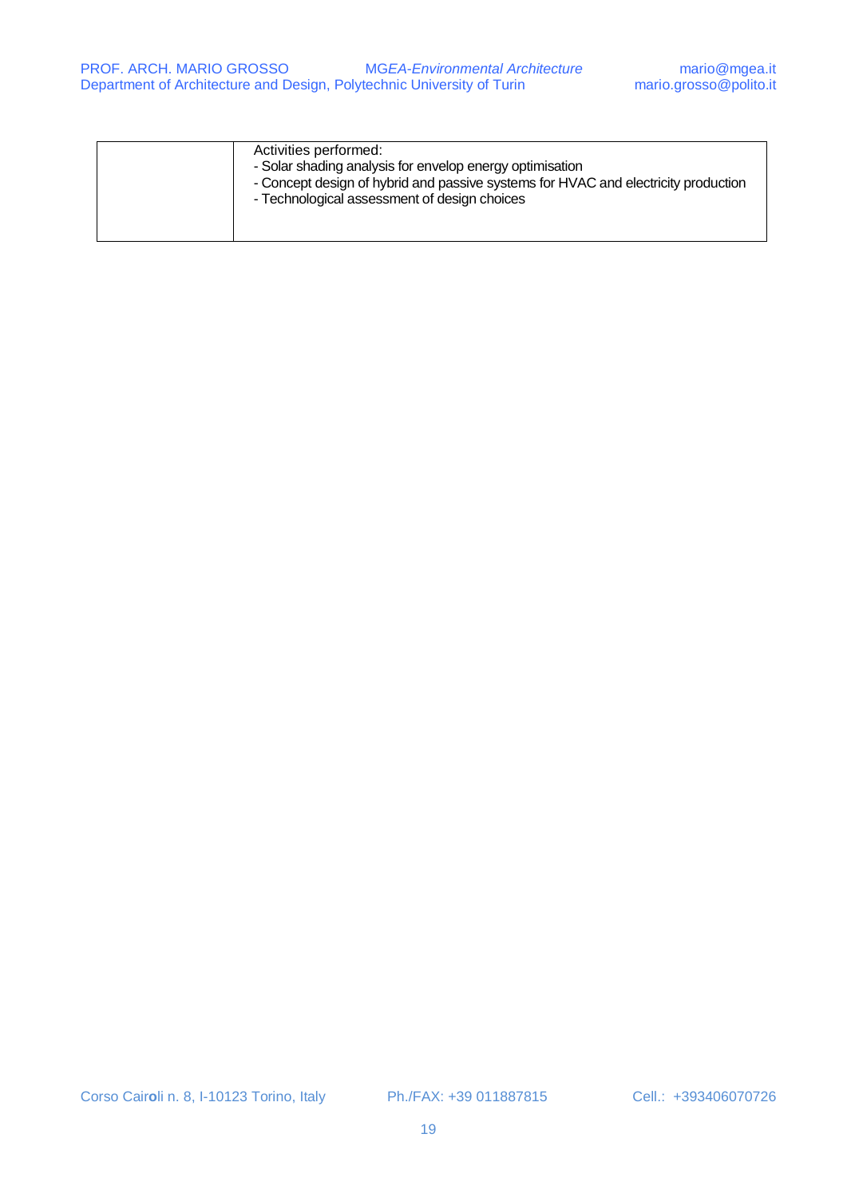| Activities performed:<br>- Solar shading analysis for envelop energy optimisation<br>- Concept design of hybrid and passive systems for HVAC and electricity production<br>- Technological assessment of design choices |
|-------------------------------------------------------------------------------------------------------------------------------------------------------------------------------------------------------------------------|
|                                                                                                                                                                                                                         |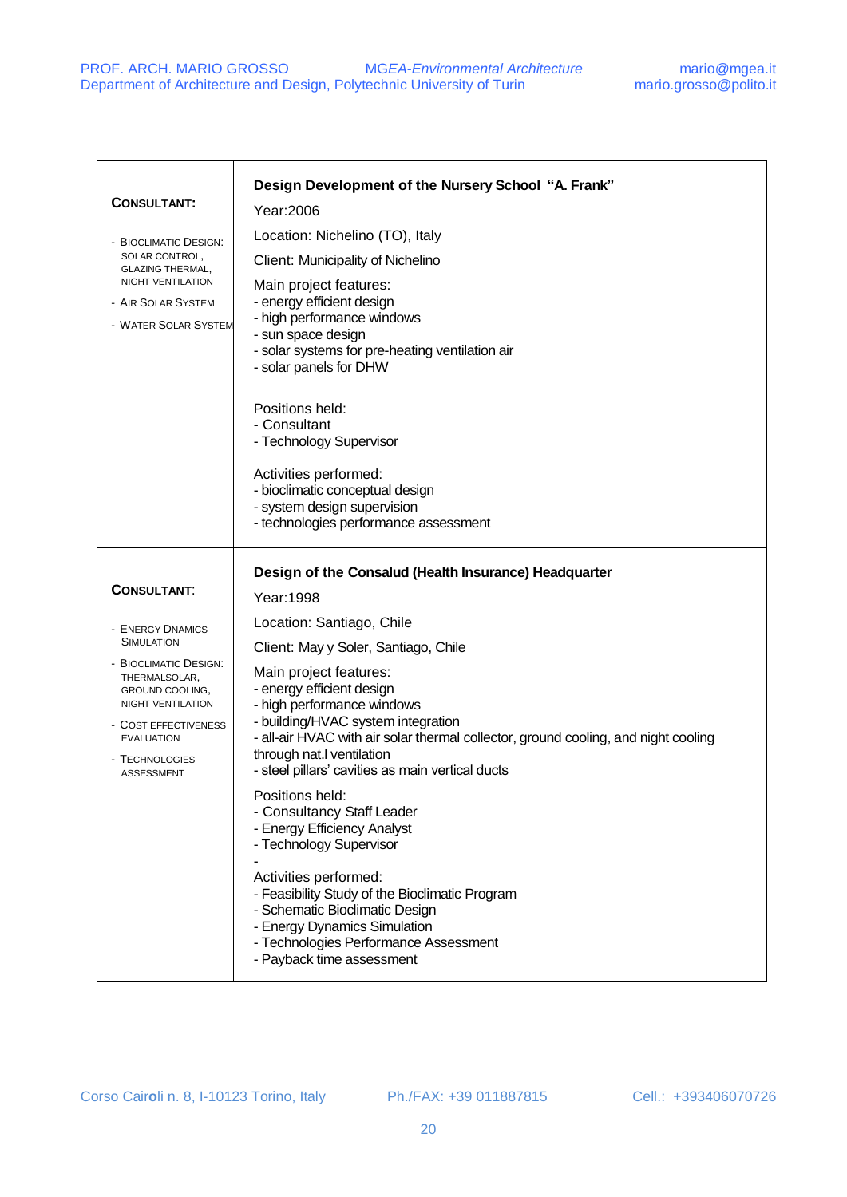| <b>CONSULTANT:</b><br>- BIOCLIMATIC DESIGN:<br>SOLAR CONTROL,<br><b>GLAZING THERMAL,</b><br>NIGHT VENTILATION<br>- AIR SOLAR SYSTEM<br>- WATER SOLAR SYSTEM                                                                              | Design Development of the Nursery School "A. Frank"<br>Year: 2006<br>Location: Nichelino (TO), Italy<br>Client: Municipality of Nichelino<br>Main project features:<br>- energy efficient design<br>- high performance windows<br>- sun space design<br>- solar systems for pre-heating ventilation air<br>- solar panels for DHW<br>Positions held:<br>- Consultant<br>- Technology Supervisor<br>Activities performed:<br>- bioclimatic conceptual design<br>- system design supervision<br>- technologies performance assessment                                                                                                                                                                                                                                      |
|------------------------------------------------------------------------------------------------------------------------------------------------------------------------------------------------------------------------------------------|--------------------------------------------------------------------------------------------------------------------------------------------------------------------------------------------------------------------------------------------------------------------------------------------------------------------------------------------------------------------------------------------------------------------------------------------------------------------------------------------------------------------------------------------------------------------------------------------------------------------------------------------------------------------------------------------------------------------------------------------------------------------------|
| <b>CONSULTANT:</b><br>- ENERGY DNAMICS<br><b>SIMULATION</b><br>- BIOCLIMATIC DESIGN:<br>THERMALSOLAR,<br>GROUND COOLING,<br><b>NIGHT VENTILATION</b><br>- COST EFFECTIVENESS<br><b>EVALUATION</b><br>- TECHNOLOGIES<br><b>ASSESSMENT</b> | Design of the Consalud (Health Insurance) Headquarter<br>Year: 1998<br>Location: Santiago, Chile<br>Client: May y Soler, Santiago, Chile<br>Main project features:<br>- energy efficient design<br>- high performance windows<br>- building/HVAC system integration<br>- all-air HVAC with air solar thermal collector, ground cooling, and night cooling<br>through nat.I ventilation<br>- steel pillars' cavities as main vertical ducts<br>Positions held:<br>- Consultancy Staff Leader<br>- Energy Efficiency Analyst<br>- Technology Supervisor<br>Activities performed:<br>- Feasibility Study of the Bioclimatic Program<br>- Schematic Bioclimatic Design<br>- Energy Dynamics Simulation<br>- Technologies Performance Assessment<br>- Payback time assessment |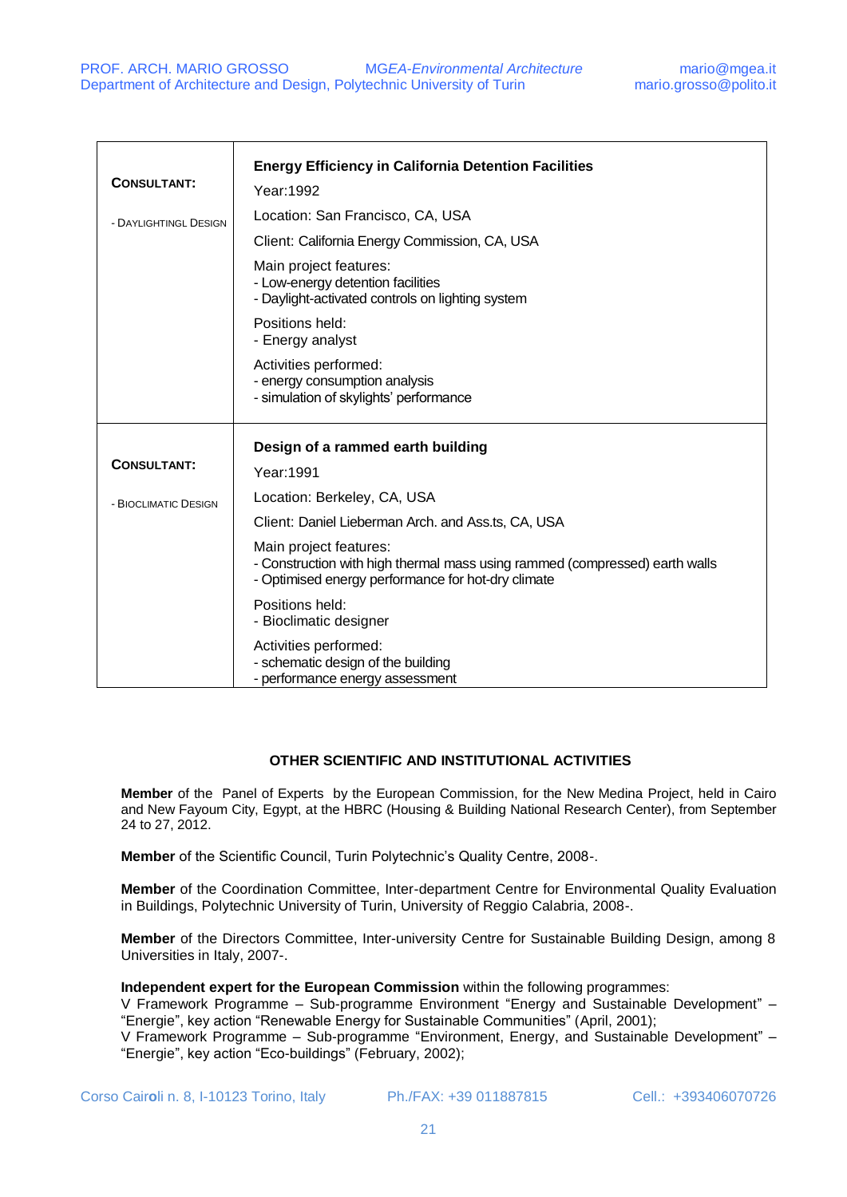| <b>CONSULTANT:</b><br>- DAYLIGHTINGL DESIGN | <b>Energy Efficiency in California Detention Facilities</b><br>Year: 1992<br>Location: San Francisco, CA, USA<br>Client: California Energy Commission, CA, USA<br>Main project features:<br>- Low-energy detention facilities<br>- Daylight-activated controls on lighting system<br>Positions held:<br>- Energy analyst<br>Activities performed:<br>- energy consumption analysis<br>- simulation of skylights' performance |
|---------------------------------------------|------------------------------------------------------------------------------------------------------------------------------------------------------------------------------------------------------------------------------------------------------------------------------------------------------------------------------------------------------------------------------------------------------------------------------|
| <b>CONSULTANT:</b><br>- BIOCLIMATIC DESIGN  | Design of a rammed earth building<br>Year: 1991<br>Location: Berkeley, CA, USA                                                                                                                                                                                                                                                                                                                                               |
|                                             | Client: Daniel Lieberman Arch. and Ass.ts, CA, USA<br>Main project features:<br>- Construction with high thermal mass using rammed (compressed) earth walls<br>- Optimised energy performance for hot-dry climate<br>Positions held:<br>- Bioclimatic designer<br>Activities performed:<br>- schematic design of the building<br>- performance energy assessment                                                             |

## **OTHER SCIENTIFIC AND INSTITUTIONAL ACTIVITIES**

**Member** of the Panel of Experts by the European Commission, for the New Medina Project, held in Cairo and New Fayoum City, Egypt, at the HBRC (Housing & Building National Research Center), from September 24 to 27, 2012.

**Member** of the Scientific Council, Turin Polytechnic's Quality Centre, 2008-.

**Member** of the Coordination Committee, Inter-department Centre for Environmental Quality Evaluation in Buildings, Polytechnic University of Turin, University of Reggio Calabria, 2008-.

**Member** of the Directors Committee, Inter-university Centre for Sustainable Building Design, among 8 Universities in Italy, 2007-.

#### **Independent expert for the European Commission** within the following programmes:

V Framework Programme – Sub-programme Environment "Energy and Sustainable Development" – "Energie", key action "Renewable Energy for Sustainable Communities" (April, 2001);

V Framework Programme – Sub-programme "Environment, Energy, and Sustainable Development" – "Energie", key action "Eco-buildings" (February, 2002);